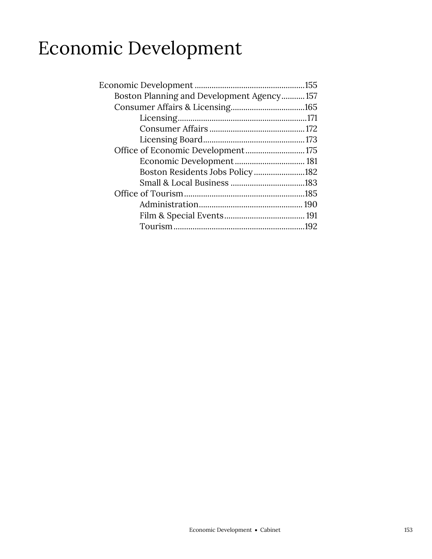## Economic Development

| Boston Planning and Development Agency157 |  |
|-------------------------------------------|--|
|                                           |  |
|                                           |  |
|                                           |  |
|                                           |  |
| Office of Economic Development 175        |  |
| Economic Development 181                  |  |
| Boston Residents Jobs Policy182           |  |
|                                           |  |
|                                           |  |
|                                           |  |
|                                           |  |
|                                           |  |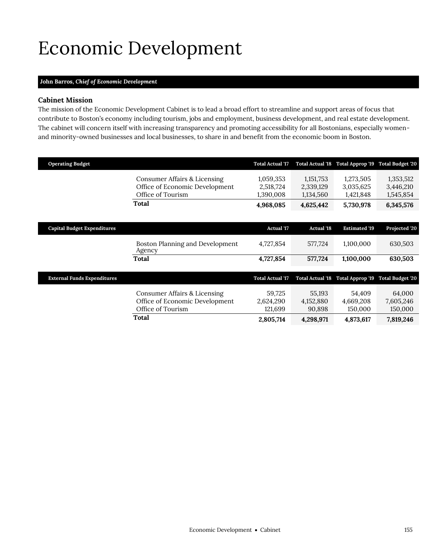# <span id="page-2-0"></span>Economic Development

## **John Barros,** *Chief of Economic Development*

## **Cabinet Mission**

The mission of the Economic Development Cabinet is to lead a broad effort to streamline and support areas of focus that contribute to Boston's economy including tourism, jobs and employment, business development, and real estate development. The cabinet will concern itself with increasing transparency and promoting accessibility for all Bostonians, especially womenand minority-owned businesses and local businesses, to share in and benefit from the economic boom in Boston.

| <b>Operating Budget</b>            |                                                                                     | <b>Total Actual '17</b>             |                                     | Total Actual '18 Total Approp '19   | <b>Total Budget '20</b>             |
|------------------------------------|-------------------------------------------------------------------------------------|-------------------------------------|-------------------------------------|-------------------------------------|-------------------------------------|
|                                    | Consumer Affairs & Licensing<br>Office of Economic Development<br>Office of Tourism | 1,059,353<br>2,518,724<br>1,390,008 | 1,151,753<br>2,339,129<br>1,134,560 | 1,273,505<br>3,035,625<br>1,421,848 | 1,353,512<br>3,446,210<br>1,545,854 |
|                                    | Total                                                                               | 4,968,085                           | 4,625,442                           | 5,730,978                           | 6,345,576                           |
|                                    |                                                                                     |                                     |                                     |                                     |                                     |
| <b>Capital Budget Expenditures</b> |                                                                                     | <b>Actual '17</b>                   | <b>Actual '18</b>                   | <b>Estimated '19</b>                | Projected '20                       |
|                                    | Boston Planning and Development<br>Agency                                           | 4,727,854                           | 577,724                             | 1,100,000                           | 630,503                             |
|                                    | Total                                                                               | 4,727,854                           | 577,724                             | 1,100,000                           | 630,503                             |
| <b>External Funds Expenditures</b> |                                                                                     | <b>Total Actual '17</b>             | Total Actual '18                    | Total Approp '19                    | <b>Total Budget '20</b>             |
|                                    | Consumer Affairs & Licensing<br>Office of Economic Development<br>Office of Tourism | 59,725<br>2,624,290<br>121,699      | 55,193<br>4,152,880<br>90,898       | 54,409<br>4,669,208<br>150,000      | 64,000<br>7,605,246<br>150,000      |
|                                    | Total                                                                               | 2,805,714                           | 4,298,971                           | 4,873,617                           | 7,819,246                           |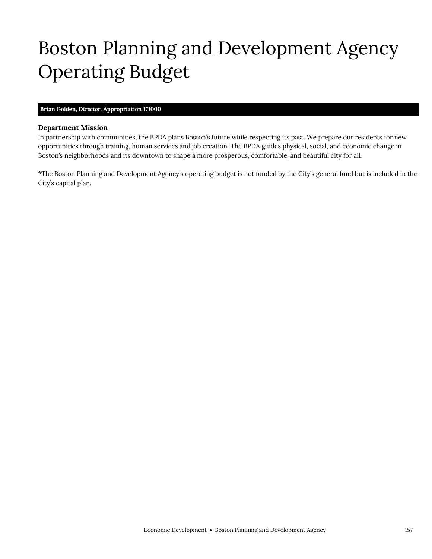# <span id="page-4-0"></span>Boston Planning and Development Agency Operating Budget

## **Brian Golden,** *Director,* **Appropriation 171000**

Boston Planning and Development Agency

### **Department Mission**

In partnership with communities, the BPDA plans Boston's future while respecting its past. We prepare our residents for new opportunities through training, human services and job creation. The BPDA guides physical, social, and economic change in Boston's neighborhoods and its downtown to shape a more prosperous, comfortable, and beautiful city for all.

\*The Boston Planning and Development Agency's operating budget is not funded by the City's general fund but is included in the City's capital plan.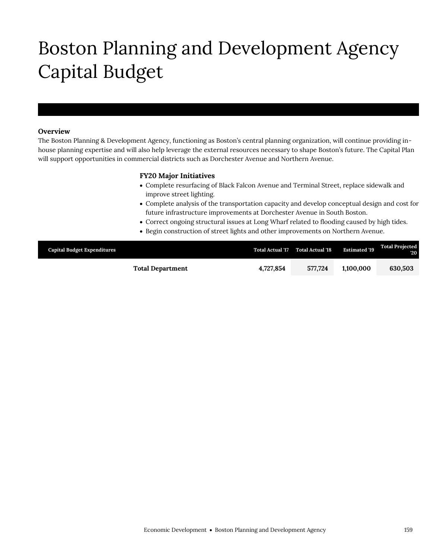# Boston Planning and Development Agency Capital Budget

### **Overview**

Boston Planning and Development Agency

The Boston Planning & Development Agency, functioning as Boston's central planning organization, will continue providing inhouse planning expertise and will also help leverage the external resources necessary to shape Boston's future. The Capital Plan will support opportunities in commercial districts such as Dorchester Avenue and Northern Avenue.

### **FY20 Major Initiatives**

- Complete resurfacing of Black Falcon Avenue and Terminal Street, replace sidewalk and improve street lighting.
- Complete analysis of the transportation capacity and develop conceptual design and cost for future infrastructure improvements at Dorchester Avenue in South Boston.
- Correct ongoing structural issues at Long Wharf related to flooding caused by high tides.
- Begin construction of street lights and other improvements on Northern Avenue.

| <b>Capital Budget Expenditures</b> | <b>Total Actual '17</b> | <b>Total Actual '18</b> | <b>Estimated '19</b> | <b>Total Projected</b><br>$20^{\circ}$ |
|------------------------------------|-------------------------|-------------------------|----------------------|----------------------------------------|
| <b>Total Department</b>            | 4.727.854               | 577.724                 | 1.100.000            | 630,503                                |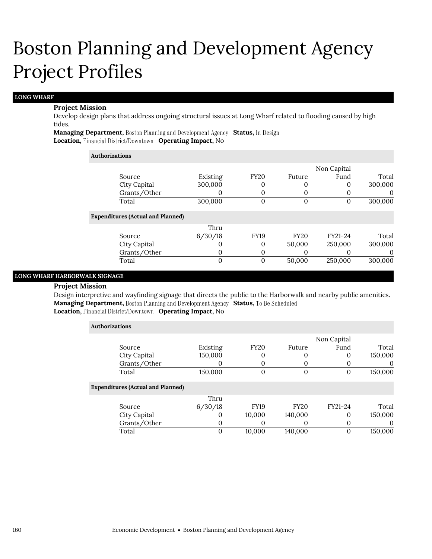#### **LONG WHARF**

#### **Project Mission**

Develop design plans that address ongoing structural issues at Long Wharf related to flooding caused by high tides.

**Managing Department, Boston Planning and Development Agency Status, In Design Location, Financial District/Downtown Operating Impact, No** 

#### **Authorizations**

|                                          |          |             |             | Non Capital |         |
|------------------------------------------|----------|-------------|-------------|-------------|---------|
| Source                                   | Existing | <b>FY20</b> | Future      | Fund        | Total   |
| City Capital                             | 300,000  | 0           | 0           | 0           | 300,000 |
| Grants/Other                             |          | 0           | $\theta$    |             |         |
| Total                                    | 300,000  | 0           | $\Omega$    | O           | 300,000 |
| <b>Expenditures (Actual and Planned)</b> |          |             |             |             |         |
|                                          | Thru     |             |             |             |         |
| Source                                   | 6/30/18  | <b>FY19</b> | <b>FY20</b> | FY21-24     | Total   |
| City Capital                             | O        | 0           | 50,000      | 250,000     | 300,000 |
| Grants/Other                             | O        | 0           | 0           |             | O       |
| Total                                    | 0        | 0           | 50,000      | 250,000     | 300,000 |

## **LONG WHARF HARBORWALK SIGNAGE**

#### **Project Mission**

Design interpretive and wayfinding signage that directs the public to the Harborwalk and nearby public amenities. **Managing Department, Boston Planning and Development Agency Status, To Be Scheduled** 

## **Location, Financial District/Downtown Operating Impact, No**

| <b>Authorizations</b>                    |          |             |             |             |         |
|------------------------------------------|----------|-------------|-------------|-------------|---------|
|                                          |          |             |             | Non Capital |         |
| Source                                   | Existing | <b>FY20</b> | Future      | Fund        | Total   |
| City Capital                             | 150,000  | 0           |             | 0           | 150,000 |
| Grants/Other                             |          | 0           |             |             | O       |
| Total                                    | 150,000  | 0           | $\Omega$    | 0           | 150,000 |
| <b>Expenditures (Actual and Planned)</b> |          |             |             |             |         |
|                                          | Thru     |             |             |             |         |
| Source                                   | 6/30/18  | <b>FY19</b> | <b>FY20</b> | FY21-24     | Total   |
| City Capital                             | $\Omega$ | 10,000      | 140,000     | $\Omega$    | 150,000 |
| Grants/Other                             | 0        | 0           | $\theta$    | 0           | 0       |
| Total                                    | 0        | 10.000      | 140,000     | $\Omega$    | 150,000 |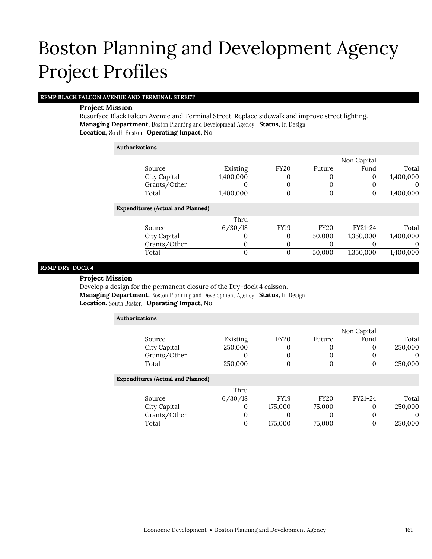### **RFMP BLACK FALCON AVENUE AND TERMINAL STREET**

#### **Project Mission**

Resurface Black Falcon Avenue and Terminal Street. Replace sidewalk and improve street lighting. **Managing Department, Boston Planning and Development Agency Status, In Design Location, Operating Impact,** No

| <b>Authorizations</b>                    |           |                |                |             |           |
|------------------------------------------|-----------|----------------|----------------|-------------|-----------|
|                                          |           |                |                | Non Capital |           |
| Source                                   | Existing  | <b>FY20</b>    | Future         | Fund        | Total     |
| City Capital                             | 1,400,000 | 0              |                | 0           | 1,400,000 |
| Grants/Other                             |           | 0              | 0              |             | $\theta$  |
| Total                                    | 1,400,000 | $\overline{0}$ | $\overline{0}$ | 0           | 1,400,000 |
| <b>Expenditures (Actual and Planned)</b> |           |                |                |             |           |
|                                          | Thru      |                |                |             |           |
| Source                                   | 6/30/18   | <b>FY19</b>    | <b>FY20</b>    | FY21-24     | Total     |
| City Capital                             |           | 0              | 50,000         | 1,350,000   | 1,400,000 |
| Grants/Other                             | 0         | 0              | 0              |             | 0         |
| Total                                    | 0         | $\theta$       | 50,000         | 1,350,000   | 1,400,000 |

### **RFMP DRY-DOCK 4**

**Project Mission**

Develop a design for the permanent closure of the Dry-dock 4 caisson. **Managing Department, Boston Planning and Development Agency Status, In Design Location, Operating Impact,** No

| <b>Authorizations</b>                    |          |             |             |             |          |
|------------------------------------------|----------|-------------|-------------|-------------|----------|
|                                          |          |             |             | Non Capital |          |
| Source                                   | Existing | <b>FY20</b> | Future      | Fund        | Total    |
| City Capital                             | 250,000  | 0           | 0           | 0           | 250,000  |
| Grants/Other                             | O        | 0           | 0           | 0           | 0        |
| Total                                    | 250,000  | 0           | $\Omega$    | 0           | 250,000  |
| <b>Expenditures (Actual and Planned)</b> |          |             |             |             |          |
|                                          | Thru     |             |             |             |          |
| Source                                   | 6/30/18  | FY19        | <b>FY20</b> | FY21-24     | Total    |
| City Capital                             | 0        | 175,000     | 75,000      | 0           | 250,000  |
| Grants/Other                             | $\Omega$ | $_{0}$      | $\Omega$    | 0           | $\theta$ |
| Total                                    | 0        | 175,000     | 75,000      | 0           | 250,000  |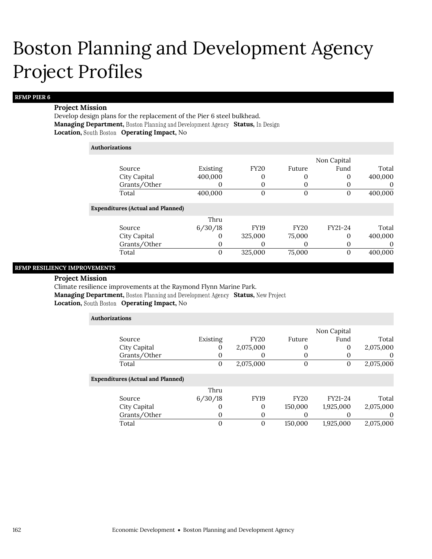#### **RFMP PIER 6**

#### **Project Mission**

Develop design plans for the replacement of the Pier 6 steel bulkhead. **Managing Department, Boston Planning and Development Agency Status, In Design Location, Operating Impact,** No

#### **Authorizations**

|                                          |          |             |             | Non Capital |          |
|------------------------------------------|----------|-------------|-------------|-------------|----------|
| Source                                   | Existing | <b>FY20</b> | Future      | Fund        | Total    |
| City Capital                             | 400,000  | 0           | 0           | 0           | 400,000  |
| Grants/Other                             |          | 0           | $\Omega$    | O           | $\theta$ |
| Total                                    | 400,000  | 0           | 0           | O           | 400,000  |
| <b>Expenditures (Actual and Planned)</b> |          |             |             |             |          |
|                                          | Thru     |             |             |             |          |
| Source                                   | 6/30/18  | <b>FY19</b> | <b>FY20</b> | FY21-24     | Total    |
| City Capital                             | $\Omega$ | 325,000     | 75,000      | 0           | 400,000  |
| Grants/Other                             | $\theta$ | 0           | $\theta$    | 0           | $\theta$ |
| Total                                    | 0        | 325,000     | 75,000      | 0           | 400,000  |

### **RFMP RESILIENCY IMPROVEMENTS**

#### **Project Mission**

Climate resilience improvements at the Raymond Flynn Marine Park.

**Managing Department, Boston Planning and Development Agency Status, New Project Location, South Boston Operating I** 

| <b>Exation, South Boston Operating Impact, NO</b> |  |
|---------------------------------------------------|--|
|                                                   |  |

| <b>Authorizations</b>                    |                |                |             |             |           |  |  |
|------------------------------------------|----------------|----------------|-------------|-------------|-----------|--|--|
|                                          |                |                |             | Non Capital |           |  |  |
| Source                                   | Existing       | <b>FY20</b>    | Future      | Fund        | Total     |  |  |
| City Capital                             | 0              | 2,075,000      |             | $\theta$    | 2,075,000 |  |  |
| Grants/Other                             | 0              | 0              | 0           | $\Omega$    | 0         |  |  |
| Total                                    | $\overline{0}$ | 2,075,000      | 0           | $\theta$    | 2,075,000 |  |  |
| <b>Expenditures (Actual and Planned)</b> |                |                |             |             |           |  |  |
|                                          | Thru           |                |             |             |           |  |  |
| Source                                   | 6/30/18        | <b>FY19</b>    | <b>FY20</b> | FY21-24     | Total     |  |  |
| <b>City Capital</b>                      | 0              | 0              | 150,000     | 1,925,000   | 2,075,000 |  |  |
| Grants/Other                             | 0              | 0              |             |             | $\Omega$  |  |  |
| Total                                    | 0              | $\overline{0}$ | 150,000     | 1,925,000   | 2,075,000 |  |  |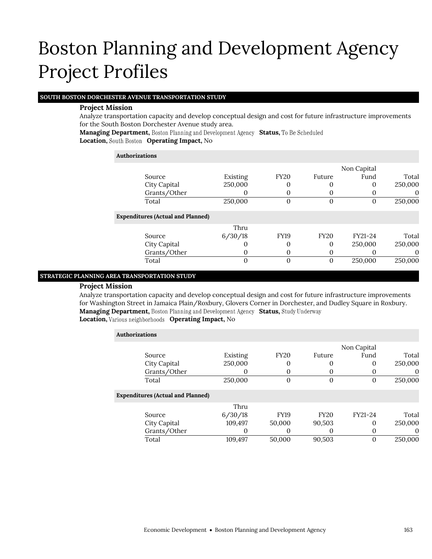### **SOUTH BOSTON DORCHESTER AVENUE TRANSPORTATION STUDY**

### **Project Mission**

Analyze transportation capacity and develop conceptual design and cost for future infrastructure improvements for the South Boston Dorchester Avenue study area.

**Managing Department, Boston Planning and Development Agency Status, To Be Scheduled** 

**Location, Operating Impact,** No

| <b>Authorizations</b> |                                          |          |             |             |             |          |
|-----------------------|------------------------------------------|----------|-------------|-------------|-------------|----------|
|                       |                                          |          |             |             | Non Capital |          |
|                       | Source                                   | Existing | <b>FY20</b> | Future      | Fund        | Total    |
|                       | City Capital                             | 250,000  | 0           |             | 0           | 250,000  |
|                       | Grants/Other                             | O        | 0           |             |             | $\theta$ |
|                       | Total                                    | 250,000  | 0           | $\theta$    | $\Omega$    | 250,000  |
|                       | <b>Expenditures (Actual and Planned)</b> |          |             |             |             |          |
|                       |                                          | Thru     |             |             |             |          |
|                       | Source                                   | 6/30/18  | <b>FY19</b> | <b>FY20</b> | FY21-24     | Total    |
|                       | City Capital                             | 0        | 0           | $\Omega$    | 250,000     | 250,000  |
|                       | Grants/Other                             | O        | 0           | $\theta$    |             | $\theta$ |
|                       | Total                                    | 0        | 0           | $\Omega$    | 250,000     | 250,000  |

### **STRATEGIC PLANNING AREA TRANSPORTATION STUDY**

### **Project Mission**

Analyze transportation capacity and develop conceptual design and cost for future infrastructure improvements for Washington Street in Jamaica Plain/Roxbury, Glovers Corner in Dorchester, and Dudley Square in Roxbury. **Managing Department, Boston Planning and Development Agency Status, Study Underway Location, Various neighborhoods Operating Impact, No** 

| <b>Authorizations</b>                    |          |             |             |             |          |
|------------------------------------------|----------|-------------|-------------|-------------|----------|
|                                          |          |             |             | Non Capital |          |
| Source                                   | Existing | <b>FY20</b> | Future      | Fund        | Total    |
| City Capital                             | 250,000  | 0           | 0           | 0           | 250,000  |
| Grants/Other                             |          | $\mathbf 0$ | $\theta$    |             | $\theta$ |
| Total                                    | 250,000  | 0           | 0           | 0           | 250,000  |
| <b>Expenditures (Actual and Planned)</b> |          |             |             |             |          |
|                                          | Thru     |             |             |             |          |
| Source                                   | 6/30/18  | <b>FY19</b> | <b>FY20</b> | FY21-24     | Total    |
| City Capital                             | 109,497  | 50,000      | 90,503      | 0           | 250,000  |
| Grants/Other                             | 0        | 0           | O           | 0           | 0        |
| Total                                    | 109.497  | 50,000      | 90.503      |             | 250,000  |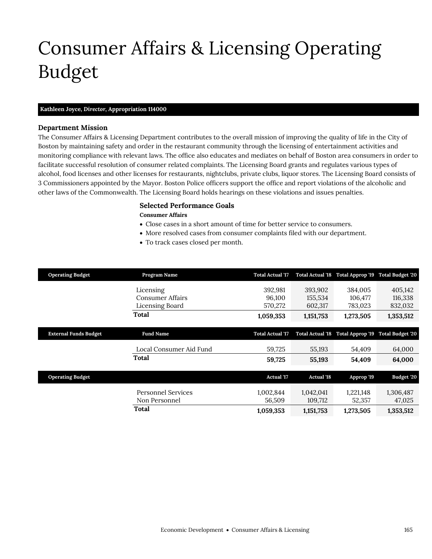# <span id="page-12-0"></span>Consumer Affairs & Licensing Operating Budget

## **Kathleen Joyce,** *Director,* **Appropriation 114000**

### **Department Mission**

Consumer Affairs & Licensing

The Consumer Affairs & Licensing Department contributes to the overall mission of improving the quality of life in the City of Boston by maintaining safety and order in the restaurant community through the licensing of entertainment activities and monitoring compliance with relevant laws. The office also educates and mediates on behalf of Boston area consumers in order to facilitate successful resolution of consumer related complaints. The Licensing Board grants and regulates various types of alcohol, food licenses and other licenses for restaurants, nightclubs, private clubs, liquor stores. The Licensing Board consists of 3 Commissioners appointed by the Mayor. Boston Police officers support the office and report violations of the alcoholic and other laws of the Commonwealth. The Licensing Board holds hearings on these violations and issues penalties.

## **Selected Performance Goals**

#### **Consumer Affairs**

- Close cases in a short amount of time for better service to consumers.
- More resolved cases from consumer complaints filed with our department.
- To track cases closed per month.

| <b>Operating Budget</b>      | Program Name              | <b>Total Actual '17</b> |                   | Total Actual '18 Total Approp '19 Total Budget '20 |                         |
|------------------------------|---------------------------|-------------------------|-------------------|----------------------------------------------------|-------------------------|
|                              | Licensing                 | 392,981                 | 393,902           | 384,005                                            | 405,142                 |
|                              | <b>Consumer Affairs</b>   | 96,100                  | 155,534           | 106,477                                            | 116,338                 |
|                              | Licensing Board           | 570,272                 | 602,317           | 783,023                                            | 832,032                 |
|                              | Total                     | 1,059,353               | 1,151,753         | 1,273,505                                          | 1,353,512               |
| <b>External Funds Budget</b> | <b>Fund Name</b>          | <b>Total Actual '17</b> |                   | Total Actual '18 Total Approp '19                  | <b>Total Budget '20</b> |
|                              | Local Consumer Aid Fund   | 59,725                  | 55,193            | 54,409                                             | 64,000                  |
|                              | Total                     | 59,725                  | 55,193            | 54,409                                             | 64,000                  |
| <b>Operating Budget</b>      |                           | <b>Actual</b> '17       | <b>Actual '18</b> | Approp '19                                         | Budget '20              |
|                              | <b>Personnel Services</b> | 1,002,844               | 1,042,041         | 1,221,148                                          | 1,306,487               |
|                              | Non Personnel             | 56,509                  | 109,712           | 52,357                                             | 47,025                  |
|                              | Total                     | 1,059,353               | 1,151,753         | 1,273,505                                          | 1,353,512               |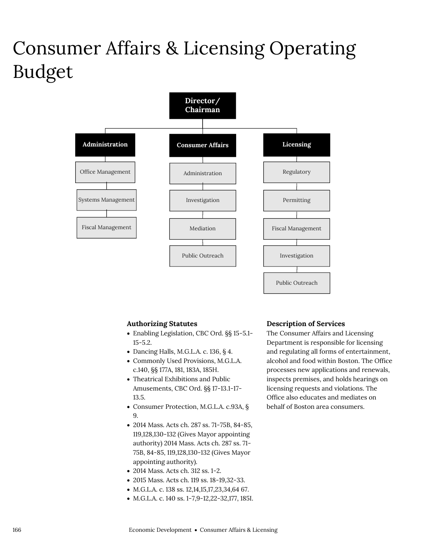## Consumer Affairs & Licensing Operating Budget



## **Authorizing Statutes**

- Enabling Legislation, CBC Ord. §§ 15-5.1- 15-5.2.
- Dancing Halls, M.G.L.A. c. 136,  $\S$  4.
- Commonly Used Provisions, M.G.L.A. c.140, §§ 177A, 181, 183A, 185H.
- Theatrical Exhibitions and Public Amusements, CBC Ord. §§ 17-13.1-17- 13.5.
- Consumer Protection, M.G.L.A. c.93A, § 9.
- 2014 Mass. Acts ch. 287 ss. 71-75B, 84-85, 119,128,130-132 (Gives Mayor appointing authority) 2014 Mass. Acts ch. 287 ss. 71- 75B, 84-85, 119,128,130-132 (Gives Mayor appointing authority).
- 2014 Mass. Acts ch. 312 ss. 1-2.
- 2015 Mass. Acts ch. 119 ss. 18-19,32-33.
- M.G.L.A. c. 138 ss. 12,14,15,17,23,34,64 67.
- M.G.L.A. c. 140 ss. 1-7,9-12,22-32,177, 185I.

#### **Description of Services**

The Consumer Affairs and Licensing Department is responsible for licensing and regulating all forms of entertainment, alcohol and food within Boston. The Office processes new applications and renewals, inspects premises, and holds hearings on licensing requests and violations. The Office also educates and mediates on behalf of Boston area consumers.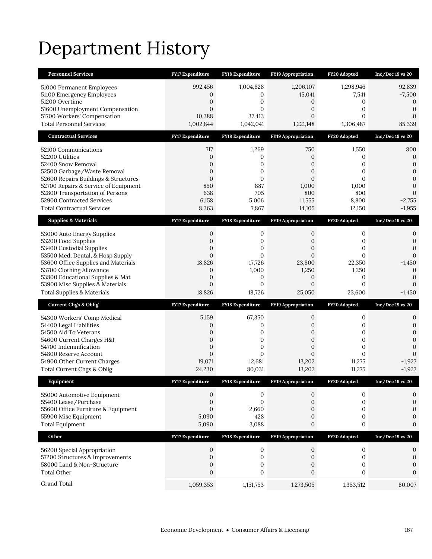# Department History

| <b>Personnel Services</b>                                                    | FY17 Expenditure              | <b>FY18 Expenditure</b>            | <b>FY19 Appropriation</b>     | FY20 Adopted                  | $Inc/Dec 19$ vs $20$                 |
|------------------------------------------------------------------------------|-------------------------------|------------------------------------|-------------------------------|-------------------------------|--------------------------------------|
| 51000 Permanent Employees                                                    | 992,456                       | 1,004,628                          | 1,206,107                     | 1,298,946                     | 92,839                               |
| 51100 Emergency Employees                                                    | 0                             | 0                                  | 15,041                        | 7,541                         | $-7,500$                             |
| 51200 Overtime                                                               | 0                             | 0                                  | 0                             | 0                             | 0                                    |
| 51600 Unemployment Compensation<br>51700 Workers' Compensation               | $\overline{0}$<br>10,388      | $\overline{0}$<br>37,413           | 0<br>0                        | 0<br>$\mathbf{0}$             | $\boldsymbol{0}$<br>$\boldsymbol{0}$ |
| <b>Total Personnel Services</b>                                              | 1,002,844                     | 1,042,041                          | 1,221,148                     | 1,306,487                     | 85,339                               |
| <b>Contractual Services</b>                                                  | FY17 Expenditure              | FY18 Expenditure                   | <b>FY19 Appropriation</b>     | FY20 Adopted                  | $Inc/Dec 19$ vs $20$                 |
| 52100 Communications                                                         | 717                           | 1,269                              | 750                           | 1,550                         | 800                                  |
| 52200 Utilities                                                              | $\mathbf{0}$                  | 0                                  | $\mathbf{0}$                  | 0                             | $\mathbf{0}$                         |
| 52400 Snow Removal                                                           | 0                             | 0                                  | 0                             | 0                             | $\mathbf{0}$                         |
| 52500 Garbage/Waste Removal                                                  | 0                             | $\boldsymbol{0}$                   | 0                             | $\mathbf{0}$                  | $\boldsymbol{0}$                     |
| 52600 Repairs Buildings & Structures<br>52700 Repairs & Service of Equipment | $\mathbf{0}$<br>850           | $\mathbf{0}$<br>887                | $\overline{0}$<br>1,000       | $\Omega$<br>1,000             | $\mathbf{0}$<br>$\mathbf{0}$         |
| 52800 Transportation of Persons                                              | 638                           | 705                                | 800                           | 800                           | $\mathbf{0}$                         |
| 52900 Contracted Services                                                    | 6,158                         | 5,006                              | 11,555                        | 8,800                         | $-2,755$                             |
| <b>Total Contractual Services</b>                                            | 8,363                         | 7,867                              | 14,105                        | 12,150                        | $-1,955$                             |
| <b>Supplies &amp; Materials</b>                                              | <b>FY17 Expenditure</b>       | <b>FY18 Expenditure</b>            | <b>FY19 Appropriation</b>     | FY20 Adopted                  | $Inc/Dec 19$ vs $20$                 |
| 53000 Auto Energy Supplies                                                   | 0                             | 0                                  | 0                             | 0                             | 0                                    |
| 53200 Food Supplies                                                          | 0                             | 0                                  | 0                             | 0                             | $\boldsymbol{0}$                     |
| 53400 Custodial Supplies                                                     | $\mathbf{0}$                  | $\overline{0}$                     | $\overline{0}$                | $\mathbf{0}$                  | $\mathbf{0}$                         |
| 53500 Med, Dental, & Hosp Supply<br>53600 Office Supplies and Materials      | $\overline{0}$<br>18,826      | $\overline{0}$<br>17,726           | $\overline{0}$<br>23,800      | $\mathbf{0}$<br>22,350        | $\mathbf{0}$<br>$-1,450$             |
| 53700 Clothing Allowance                                                     | 0                             | 1,000                              | 1,250                         | 1,250                         | $\mathbf{0}$                         |
| 53800 Educational Supplies & Mat                                             | $\mathbf{0}$                  | 0                                  | 0                             | 0                             | $\boldsymbol{0}$                     |
|                                                                              |                               |                                    |                               |                               |                                      |
| 53900 Misc Supplies & Materials                                              | $\overline{0}$                | $\overline{0}$                     | $\overline{0}$                | $\mathbf{0}$                  | $\Omega$                             |
| <b>Total Supplies &amp; Materials</b>                                        | 18,826                        | 18,726                             | 25,050                        | 23,600                        | $-1,450$                             |
| <b>Current Chgs &amp; Oblig</b>                                              | <b>FY17 Expenditure</b>       | <b>FY18 Expenditure</b>            | <b>FY19 Appropriation</b>     | FY20 Adopted                  | $Inc/Dec 19$ vs $20$                 |
| 54300 Workers' Comp Medical                                                  | 5,159                         | 67,350                             | 0                             | $\boldsymbol{0}$              | 0                                    |
| 54400 Legal Liabilities                                                      | 0                             | 0                                  | 0                             | 0                             | $\boldsymbol{0}$                     |
| 54500 Aid To Veterans                                                        | 0                             | $\boldsymbol{0}$                   | $\mathbf{0}$                  | $\mathbf{0}$                  | $\mathbf{0}$                         |
| 54600 Current Charges H&I                                                    | $\overline{0}$                | $\mathbf{0}$                       | $\overline{0}$                | $\mathbf{0}$                  | $\mathbf{0}$                         |
| 54700 Indemnification<br>54800 Reserve Account                               | 0<br>$\mathbf{0}$             | $\boldsymbol{0}$<br>$\overline{0}$ | 0<br>$\overline{0}$           | $\mathbf{0}$<br>$\mathbf{0}$  | $\mathbf{0}$<br>$\mathbf{0}$         |
| 54900 Other Current Charges                                                  | 19,071                        | 12,681                             | 13,202                        | 11,275                        | $-1,927$                             |
| Total Current Chgs & Oblig                                                   | 24,230                        | 80,031                             | 13,202                        | 11,275                        | $-1,927$                             |
| Equipment                                                                    | <b>FY17 Expenditure</b>       | <b>FY18 Expenditure</b>            | FY19 Appropriation            | FY20 Adopted                  | Inc/Dec 19 vs 20                     |
| 55000 Automotive Equipment                                                   | 0                             | 0                                  | 0                             | 0                             | 0                                    |
| 55400 Lease/Purchase                                                         | 0                             | 0                                  | $\mathbf{0}$                  | 0                             | $\boldsymbol{0}$                     |
| 55600 Office Furniture & Equipment                                           | $\overline{0}$                | 2,660                              | 0                             | 0                             | $\mathbf{0}$                         |
| 55900 Misc Equipment                                                         | 5,090                         | 428                                | 0                             | $\boldsymbol{0}$              | $\boldsymbol{0}$                     |
| <b>Total Equipment</b>                                                       | 5,090                         | 3,088                              | 0                             | $\boldsymbol{0}$              | $\mathbf{0}$                         |
| Other                                                                        | FY17 Expenditure              | FY18 Expenditure                   | <b>FY19 Appropriation</b>     | FY20 Adopted                  | $Inc/Dec 19$ vs $20$                 |
| 56200 Special Appropriation                                                  | 0                             | 0                                  | 0                             | $\boldsymbol{0}$              | 0                                    |
| 57200 Structures & Improvements                                              | $\boldsymbol{0}$              | $\boldsymbol{0}$                   | $\boldsymbol{0}$              | $\boldsymbol{0}$              | $\boldsymbol{0}$                     |
| 58000 Land & Non-Structure                                                   | 0                             | 0                                  | 0                             | 0                             | $\mathbf{0}$                         |
| <b>Total Other</b><br>Grand Total                                            | $\boldsymbol{0}$<br>1,059,353 | 0<br>1,151,753                     | $\boldsymbol{0}$<br>1,273,505 | $\boldsymbol{0}$<br>1,353,512 | $\boldsymbol{0}$<br>80,007           |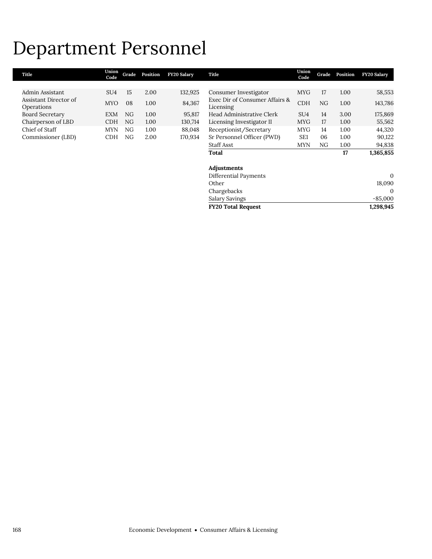## Department Personnel

| Title                  | Union<br>Code   | Grade | Position | <b>FY20 Salary</b> | Title                          | Union<br>Code   | Grade | Position | <b>FY20 Salary</b> |
|------------------------|-----------------|-------|----------|--------------------|--------------------------------|-----------------|-------|----------|--------------------|
|                        |                 |       |          |                    |                                |                 |       |          |                    |
| Admin Assistant        | SU <sub>4</sub> | 15    | 2.00     | 132,925            | Consumer Investigator          | <b>MYG</b>      | 17    | 1.00     | 58,553             |
| Assistant Director of  | <b>MYO</b>      | 08    | 1.00     | 84,367             | Exec Dir of Consumer Affairs & | <b>CDH</b>      | NG    | 1.00     | 143,786            |
| Operations             |                 |       |          |                    | Licensing                      |                 |       |          |                    |
| <b>Board Secretary</b> | EXM             | NG    | 1.00     | 95,817             | Head Administrative Clerk      | SU <sub>4</sub> | 14    | 3.00     | 175,869            |
| Chairperson of LBD     | <b>CDH</b>      | NG    | 1.00     | 130,714            | Licensing Investigator II      | <b>MYG</b>      | 17    | 1.00     | 55,562             |
| Chief of Staff         | <b>MYN</b>      | NG.   | 1.00     | 88,048             | Receptionist/Secretary         | <b>MYG</b>      | 14    | 1.00     | 44,320             |
| Commissioner (LBD)     | <b>CDH</b>      | NG    | 2.00     | 170,934            | Sr Personnel Officer (PWD)     | SE <sub>1</sub> | 06    | 1.00     | 90,122             |
|                        |                 |       |          |                    | <b>Staff Asst</b>              | <b>MYN</b>      | NG    | 1.00     | 94,838             |
|                        |                 |       |          |                    | Total                          |                 |       | 17       | 1,365,855          |
|                        |                 |       |          |                    | Adjustments                    |                 |       |          |                    |
|                        |                 |       |          |                    | Differential Payments          |                 |       |          | $\theta$           |
|                        |                 |       |          |                    | Other                          |                 |       |          | 18,090             |
|                        |                 |       |          |                    | Chargebacks                    |                 |       |          | $\Omega$           |
|                        |                 |       |          |                    | <b>Salary Savings</b>          |                 |       |          | $-85,000$          |
|                        |                 |       |          |                    | <b>FY20 Total Request</b>      |                 |       |          | 1,298,945          |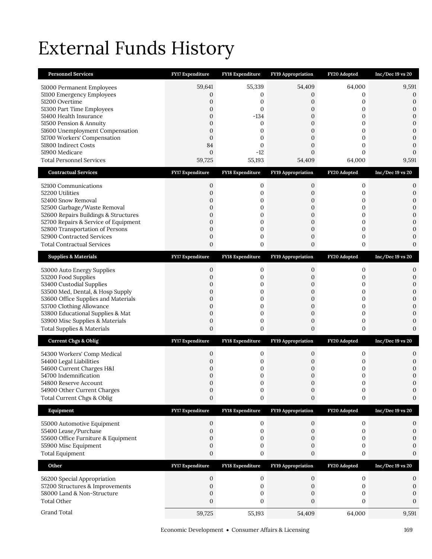# External Funds History

| <b>Personnel Services</b>                                                    | <b>FY17 Expenditure</b>          | FY18 Expenditure                     | <b>FY19 Appropriation</b>            | FY20 Adopted                 | Inc/Dec 19 vs 20                 |
|------------------------------------------------------------------------------|----------------------------------|--------------------------------------|--------------------------------------|------------------------------|----------------------------------|
| 51000 Permanent Employees                                                    | 59,641                           | 55,339                               | 54,409                               | 64,000                       | 9,591                            |
| 51100 Emergency Employees                                                    | 0                                | 0                                    | 0                                    | 0                            | 0                                |
| 51200 Overtime<br>51300 Part Time Employees                                  | $\mathbf{0}$<br>$\overline{0}$   | 0<br>$\boldsymbol{0}$                | 0<br>0                               | 0<br>$\mathbf{0}$            | $\mathbf{0}$<br>$\boldsymbol{0}$ |
| 51400 Health Insurance                                                       | 0                                | $-134$                               | $\mathbf{0}$                         | 0                            | $\boldsymbol{0}$                 |
| 51500 Pension & Annuity<br>51600 Unemployment Compensation                   | 0<br>0                           | 0<br>0                               | 0<br>$\overline{0}$                  | 0<br>$\mathbf{0}$            | $\mathbf{0}$<br>$\mathbf{0}$     |
| 51700 Workers' Compensation                                                  | $\mathbf{0}$                     | 0                                    | $\mathbf{0}$                         | $\mathbf{0}$                 | $\boldsymbol{0}$                 |
| 51800 Indirect Costs                                                         | 84                               | $\mathbf{0}$                         | $\mathbf{0}$                         | $\mathbf{0}$                 | $\mathbf{0}$                     |
| 51900 Medicare<br><b>Total Personnel Services</b>                            | $\mathbf 0$<br>59,725            | $-12$<br>55,193                      | $\boldsymbol{0}$<br>54,409           | $\mathbf{0}$<br>64,000       | $\mathbf{0}$<br>9,591            |
| <b>Contractual Services</b>                                                  | <b>FY17 Expenditure</b>          | FY18 Expenditure                     | FY19 Appropriation                   | FY20 Adopted                 | $Inc/Dec 19$ vs 20               |
|                                                                              |                                  |                                      |                                      |                              |                                  |
| 52100 Communications<br>52200 Utilities                                      | 0<br>0                           | 0<br>0                               | 0<br>0                               | 0<br>0                       | 0<br>$\boldsymbol{0}$            |
| 52400 Snow Removal                                                           | 0                                | 0                                    | $\mathbf{0}$                         | $\mathbf{0}$                 | $\mathbf{0}$                     |
| 52500 Garbage/Waste Removal                                                  | 0                                | 0                                    | $\boldsymbol{0}$                     | 0                            | $\mathbf{0}$                     |
| 52600 Repairs Buildings & Structures<br>52700 Repairs & Service of Equipment | $\mathbf{0}$<br>$\overline{0}$   | $\boldsymbol{0}$<br>0                | $\boldsymbol{0}$<br>$\overline{0}$   | 0<br>0                       | $\mathbf{0}$<br>$\mathbf{0}$     |
| 52800 Transportation of Persons                                              | $\mathbf{0}$                     | 0                                    | 0                                    | 0                            | $\mathbf{0}$                     |
| 52900 Contracted Services<br><b>Total Contractual Services</b>               | $\mathbf{0}$<br>$\mathbf{0}$     | 0<br>$\boldsymbol{0}$                | $\boldsymbol{0}$<br>$\boldsymbol{0}$ | 0<br>0                       | $\mathbf{0}$<br>$\mathbf{0}$     |
|                                                                              |                                  |                                      |                                      |                              |                                  |
| <b>Supplies &amp; Materials</b>                                              | <b>FY17 Expenditure</b>          | <b>FY18 Expenditure</b>              | <b>FY19 Appropriation</b>            | FY20 Adopted                 | $Inc/Dec 19$ vs $20$             |
| 53000 Auto Energy Supplies<br>53200 Food Supplies                            | 0<br>$\overline{0}$              | 0<br>0                               | 0<br>0                               | 0<br>0                       | 0<br>$\boldsymbol{0}$            |
| 53400 Custodial Supplies                                                     | 0                                | 0                                    | 0                                    | 0                            | $\mathbf{0}$                     |
| 53500 Med, Dental, & Hosp Supply                                             | 0                                | 0                                    | $\boldsymbol{0}$                     | 0                            | $\mathbf{0}$                     |
| 53600 Office Supplies and Materials<br>53700 Clothing Allowance              | $\overline{0}$<br>$\overline{0}$ | $\boldsymbol{0}$<br>$\boldsymbol{0}$ | 0<br>$\overline{0}$                  | 0<br>$\overline{0}$          | $\mathbf{0}$<br>$\overline{0}$   |
| 53800 Educational Supplies & Mat                                             | $\mathbf{0}$                     | $\boldsymbol{0}$                     | $\boldsymbol{0}$                     | 0                            | $\mathbf{0}$                     |
| 53900 Misc Supplies & Materials                                              | $\mathbf{0}$                     | $\boldsymbol{0}$                     | $\boldsymbol{0}$                     | 0                            | $\mathbf{0}$                     |
| <b>Total Supplies &amp; Materials</b>                                        | $\boldsymbol{0}$                 | $\boldsymbol{0}$                     | 0                                    | 0                            | $\mathbf{0}$                     |
| <b>Current Chgs &amp; Oblig</b>                                              | <b>FY17 Expenditure</b>          | <b>FY18 Expenditure</b>              | <b>FY19 Appropriation</b>            | FY20 Adopted                 | Inc/Dec 19 vs 20                 |
| 54300 Workers' Comp Medical                                                  | 0                                | 0                                    | 0                                    | 0                            | 0                                |
| 54400 Legal Liabilities<br>54600 Current Charges H&I                         | $\overline{0}$<br>0              | $\mathbf{0}$<br>0                    | 0<br>0                               | 0<br>0                       | $\mathbf{0}$<br>$\mathbf{0}$     |
| 54700 Indemnification                                                        | $\mathbf{0}$                     | 0                                    | $\boldsymbol{0}$                     | $\mathbf{0}$                 | $\mathbf{0}$                     |
| 54800 Reserve Account<br>54900 Other Current Charges                         | $\Omega$                         | $\Omega$<br>0                        | $\Omega$<br>0                        | $\Omega$<br>$\boldsymbol{0}$ | $\Omega$<br>$\mathbf{0}$         |
| Total Current Chgs & Oblig                                                   | 0<br>$\boldsymbol{0}$            | 0                                    | 0                                    | 0                            | 0                                |
| Equipment                                                                    | FY17 Expenditure                 | FY18 Expenditure                     | <b>FY19 Appropriation</b>            | FY20 Adopted                 | Inc/Dec 19 vs 20                 |
| 55000 Automotive Equipment                                                   | 0                                | 0                                    | 0                                    | $\boldsymbol{0}$             | 0                                |
| 55400 Lease/Purchase                                                         | $\boldsymbol{0}$                 | $\boldsymbol{0}$                     | 0                                    | 0                            | $\boldsymbol{0}$                 |
| 55600 Office Furniture & Equipment<br>55900 Misc Equipment                   | 0<br>0                           | 0<br>0                               | 0<br>0                               | 0<br>0                       | 0<br>$\mathbf{0}$                |
| <b>Total Equipment</b>                                                       | $\boldsymbol{0}$                 | 0                                    | 0                                    | 0                            | $\mathbf{0}$                     |
| Other                                                                        | <b>FY17 Expenditure</b>          | <b>FY18 Expenditure</b>              | <b>FY19 Appropriation</b>            | FY20 Adopted                 | Inc/Dec 19 vs 20                 |
| 56200 Special Appropriation                                                  | 0                                | 0                                    | 0                                    | $\mathbf 0$                  | 0                                |
| 57200 Structures & Improvements                                              | 0                                | 0                                    | 0                                    | 0                            | $\boldsymbol{0}$                 |
| 58000 Land & Non-Structure                                                   | 0                                | 0                                    | 0                                    | 0                            | 0                                |
| <b>Total Other</b>                                                           | 0                                | 0                                    | 0                                    | 0                            | $\boldsymbol{0}$                 |
| Grand Total                                                                  | 59,725                           | 55,193                               | 54,409                               | 64,000                       | 9,591                            |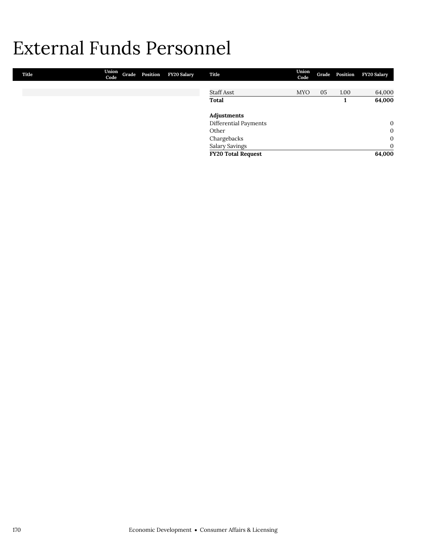## External Funds Personnel

| Title | Union<br>Code | Grade Position | <b>FY20 Salary</b> | Title                     | Union<br>Code |    | Grade Position | <b>FY20 Salary</b> |
|-------|---------------|----------------|--------------------|---------------------------|---------------|----|----------------|--------------------|
|       |               |                |                    |                           |               |    |                |                    |
|       |               |                |                    | Staff Asst                | <b>MYO</b>    | 05 | 1.00           | 64,000             |
|       |               |                |                    | Total                     |               |    |                | 64,000             |
|       |               |                |                    | Adjustments               |               |    |                |                    |
|       |               |                |                    | Differential Payments     |               |    |                | $\mathbf{0}$       |
|       |               |                |                    | Other                     |               |    |                | $\mathbf{0}$       |
|       |               |                |                    | Chargebacks               |               |    |                | $\mathbf{0}$       |
|       |               |                |                    | <b>Salary Savings</b>     |               |    |                | $\mathbf{0}$       |
|       |               |                |                    | <b>FY20 Total Request</b> |               |    |                | 64,000             |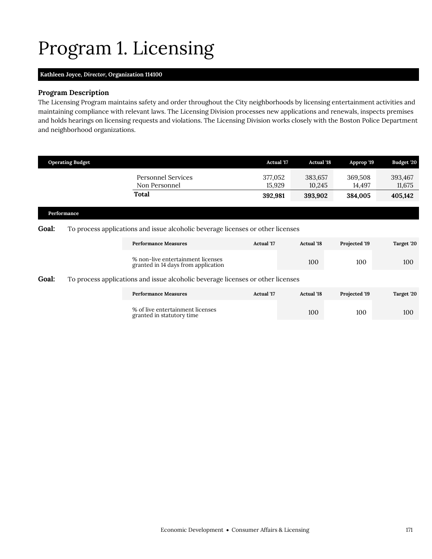# <span id="page-18-0"></span>Program 1. Licensing

### **Kathleen Joyce,** *Director,* **Organization 114100**

## **Program Description**

The Licensing Program maintains safety and order throughout the City neighborhoods by licensing entertainment activities and maintaining compliance with relevant laws. The Licensing Division processes new applications and renewals, inspects premises and holds hearings on licensing requests and violations. The Licensing Division works closely with the Boston Police Department and neighborhood organizations.

|       | <b>Operating Budget</b> |                                                                                 | <b>Actual '17</b> | <b>Actual '18</b> | Approp '19        | Budget '20        |
|-------|-------------------------|---------------------------------------------------------------------------------|-------------------|-------------------|-------------------|-------------------|
|       |                         | <b>Personnel Services</b><br>Non Personnel                                      | 377,052<br>15,929 | 383,657<br>10,245 | 369,508<br>14,497 | 393,467<br>11,675 |
|       |                         | Total                                                                           | 392,981           | 393,902           | 384,005           | 405,142           |
|       | Performance             |                                                                                 |                   |                   |                   |                   |
| Goal: |                         | To process applications and issue alcoholic beverage licenses or other licenses |                   |                   |                   |                   |
|       |                         | <b>Performance Measures</b>                                                     | <b>Actual</b> '17 | <b>Actual</b> '18 | Projected '19     | Target '20        |
|       |                         | % non-live entertainment licenses<br>granted in 14 days from application        |                   | 100               | 100               | 100               |
| Goal: |                         | To process applications and issue alcoholic beverage licenses or other licenses |                   |                   |                   |                   |
|       |                         |                                                                                 |                   |                   |                   |                   |

| <b>Performance Measures</b>                                   | Actual '17 | <b>Actual</b> '18 | <b>Projected '19</b> | Target '20 |
|---------------------------------------------------------------|------------|-------------------|----------------------|------------|
| % of live entertainment licenses<br>granted in statutory time |            | 100               | 100                  | 100        |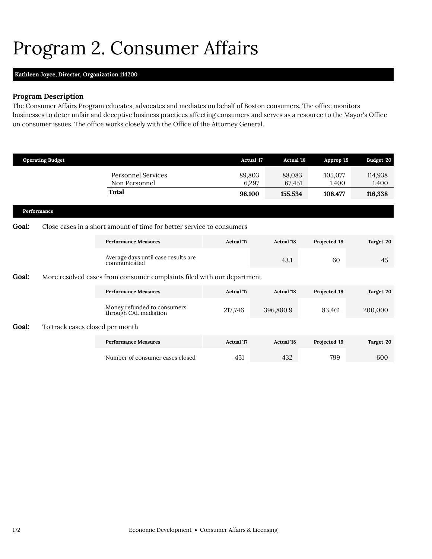## <span id="page-19-0"></span>Program 2. Consumer Affairs

## **Kathleen Joyce,** *Director,* **Organization 114200**

## **Program Description**

The Consumer Affairs Program educates, advocates and mediates on behalf of Boston consumers. The office monitors businesses to deter unfair and deceptive business practices affecting consumers and serves as a resource to the Mayor's Office on consumer issues. The office works closely with the Office of the Attorney General.

|       | <b>Operating Budget</b>         |                                                                        |                   | <b>Actual</b> '17<br><b>Actual '18</b> | Approp '19       | Budget '20       |  |  |  |  |  |
|-------|---------------------------------|------------------------------------------------------------------------|-------------------|----------------------------------------|------------------|------------------|--|--|--|--|--|
|       |                                 | <b>Personnel Services</b><br>Non Personnel                             | 89,803            | 88,083<br>6,297<br>67,451              | 105,077<br>1,400 | 114,938<br>1,400 |  |  |  |  |  |
|       |                                 | <b>Total</b>                                                           | 96,100            | 155,534                                | 106,477          | 116,338          |  |  |  |  |  |
|       | Performance                     |                                                                        |                   |                                        |                  |                  |  |  |  |  |  |
| Goal: |                                 | Close cases in a short amount of time for better service to consumers  |                   |                                        |                  |                  |  |  |  |  |  |
|       |                                 | <b>Performance Measures</b>                                            | Actual '17        | <b>Actual</b> '18                      | Projected '19    | Target '20       |  |  |  |  |  |
|       |                                 | Average days until case results are<br>communicated                    |                   | 43.1                                   | 60               | 45               |  |  |  |  |  |
| Goal: |                                 | More resolved cases from consumer complaints filed with our department |                   |                                        |                  |                  |  |  |  |  |  |
|       |                                 | <b>Performance Measures</b>                                            | <b>Actual</b> '17 | <b>Actual '18</b>                      | Projected '19    | Target '20       |  |  |  |  |  |
|       |                                 | Money refunded to consumers<br>through CAL mediation                   | 217,746           | 396,880.9                              | 83,461           | 200,000          |  |  |  |  |  |
| Goal: | To track cases closed per month |                                                                        |                   |                                        |                  |                  |  |  |  |  |  |
|       |                                 | <b>Performance Measures</b>                                            | <b>Actual</b> '17 | <b>Actual '18</b>                      | Projected '19    | Target '20       |  |  |  |  |  |
|       |                                 | Number of consumer cases closed                                        | 451               | 432                                    | 799              | 600              |  |  |  |  |  |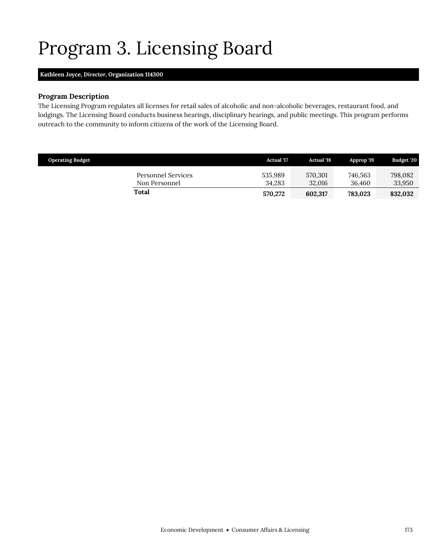# <span id="page-20-0"></span>Program 3. Licensing Board

## **Kathleen Joyce,** *Director,* **Organization 114300**

### **Program Description**

The Licensing Program regulates all licenses for retail sales of alcoholic and non-alcoholic beverages, restaurant food, and lodgings. The Licensing Board conducts business hearings, disciplinary hearings, and public meetings. This program performs outreach to the community to inform citizens of the work of the Licensing Board.

| <b>Operating Budget</b>             | <b>Actual</b> '17 | <b>Actual</b> '18 | Approp '19        | Budget '20        |
|-------------------------------------|-------------------|-------------------|-------------------|-------------------|
| Personnel Services<br>Non Personnel | 535.989<br>34.283 | 570.301<br>32,016 | 746.563<br>36.460 | 798,082<br>33,950 |
| Total                               | 570,272           | 602,317           | 783,023           | 832,032           |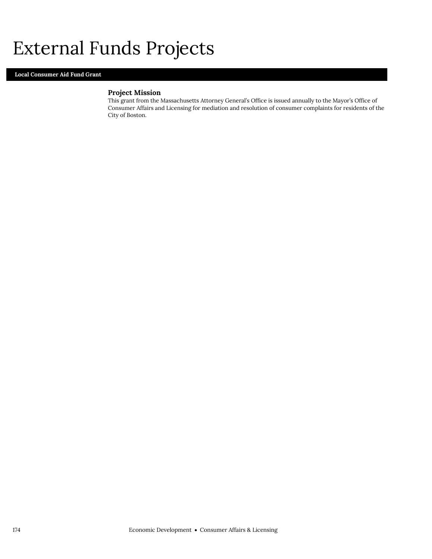## External Funds Projects

## **Local Consumer Aid Fund Grant**

## **Project Mission**

This grant from the Massachusetts Attorney General's Office is issued annually to the Mayor's Office of Consumer Affairs and Licensing for mediation and resolution of consumer complaints for residents of the City of Boston.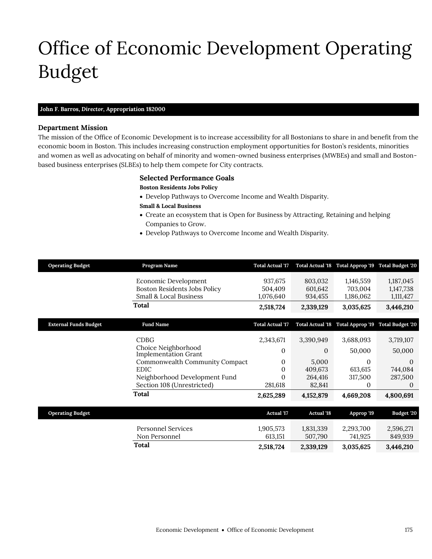# <span id="page-22-0"></span>Office of Economic Development Operating Budget

## **John F. Barros,** *Director,* **Appropriation 182000**

### **Department Mission**

Office of Economic Development

The mission of the Office of Economic Development is to increase accessibility for all Bostonians to share in and benefit from the economic boom in Boston. This includes increasing construction employment opportunities for Boston's residents, minorities and women as well as advocating on behalf of minority and women-owned business enterprises (MWBEs) and small and Bostonbased business enterprises (SLBEs) to help them compete for City contracts.

#### **Selected Performance Goals**

#### **Boston Residents Jobs Policy**

- Develop Pathways to Overcome Income and Wealth Disparity.
- **Small & Local Business**
- Create an ecosystem that is Open for Business by Attracting, Retaining and helping Companies to Grow.
- Develop Pathways to Overcome Income and Wealth Disparity.

| <b>Operating Budget</b>      | Program Name                                       | <b>Total Actual '17</b> |                         | Total Actual '18 Total Approp '19 Total Budget '20 |                         |
|------------------------------|----------------------------------------------------|-------------------------|-------------------------|----------------------------------------------------|-------------------------|
|                              | Economic Development                               | 937,675                 | 803,032                 | 1,146,559                                          | 1,187,045               |
|                              | <b>Boston Residents Jobs Policy</b>                | 504,409                 | 601,642                 | 703,004                                            | 1,147,738               |
|                              | Small & Local Business                             | 1,076,640               | 934,455                 | 1,186,062                                          | 1,111,427               |
|                              | Total                                              | 2,518,724               | 2,339,129               | 3,035,625                                          | 3,446,210               |
| <b>External Funds Budget</b> | <b>Fund Name</b>                                   | <b>Total Actual '17</b> | <b>Total Actual '18</b> | Total Approp '19                                   | <b>Total Budget '20</b> |
|                              | <b>CDBG</b>                                        | 2,343,671               | 3,390,949               | 3,688,093                                          | 3,719,107               |
|                              | Choice Neighborhood<br><b>Implementation Grant</b> | 0                       | 0                       | 50,000                                             | 50,000                  |
|                              | Commonwealth Community Compact                     | 0                       | 5,000                   | $\mathbf{0}$                                       | 0                       |
|                              | <b>EDIC</b>                                        | 0                       | 409,673                 | 613,615                                            | 744,084                 |
|                              | Neighborhood Development Fund                      | 0                       | 264,416                 | 317,500                                            | 287,500                 |
|                              | Section 108 (Unrestricted)                         | 281,618                 | 82,841                  | 0                                                  | $\theta$                |
|                              | <b>Total</b>                                       | 2,625,289               | 4,152,879               | 4,669,208                                          | 4,800,691               |
| <b>Operating Budget</b>      |                                                    | <b>Actual</b> '17       | <b>Actual '18</b>       | Approp '19                                         | Budget '20              |
|                              |                                                    |                         |                         |                                                    |                         |
|                              | <b>Personnel Services</b>                          | 1,905,573               | 1,831,339               | 2,293,700                                          | 2,596,271               |
|                              | Non Personnel                                      | 613,151                 | 507,790                 | 741,925                                            | 849,939                 |
|                              | Total                                              | 2,518,724               | 2,339,129               | 3,035,625                                          | 3,446,210               |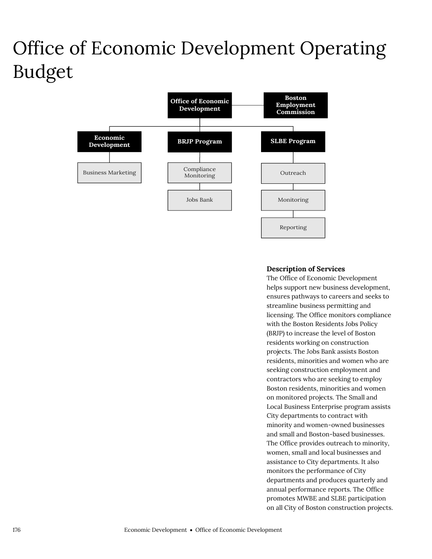# Office of Economic Development Operating Budget



## **Description of Services**

The Office of Economic Development helps support new business development, ensures pathways to careers and seeks to streamline business permitting and licensing. The Office monitors compliance with the Boston Residents Jobs Policy (BRJP) to increase the level of Boston residents working on construction projects. The Jobs Bank assists Boston residents, minorities and women who are seeking construction employment and contractors who are seeking to employ Boston residents, minorities and women on monitored projects. The Small and Local Business Enterprise program assists City departments to contract with minority and women-owned businesses and small and Boston-based businesses. The Office provides outreach to minority, women, small and local businesses and assistance to City departments. It also monitors the performance of City departments and produces quarterly and annual performance reports. The Office promotes MWBE and SLBE participation on all City of Boston construction projects.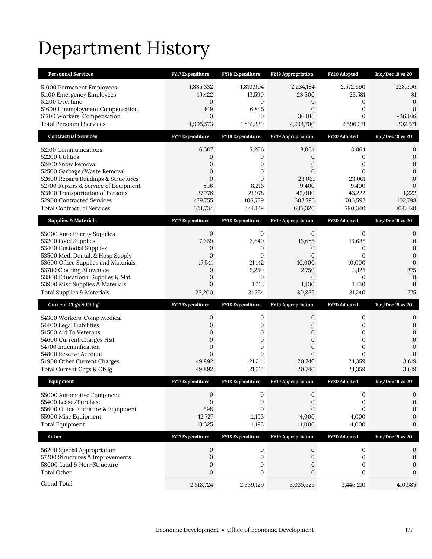# Department History

| <b>Personnel Services</b>                                                    | <b>FY17 Expenditure</b>            | <b>FY18 Expenditure</b>          | <b>FY19 Appropriation</b>          | FY20 Adopted                     | $Inc/Dec 19$ vs $20$           |
|------------------------------------------------------------------------------|------------------------------------|----------------------------------|------------------------------------|----------------------------------|--------------------------------|
| 51000 Permanent Employees                                                    | 1,885,332                          | 1,810,904                        | 2,234,184                          | 2,572,690                        | 338,506                        |
| 51100 Emergency Employees                                                    | 19,422                             | 13,590                           | 23,500                             | 23,581                           | 81                             |
| 51200 Overtime                                                               | $\mathbf{0}$                       | 0                                | 0                                  | 0                                | $\mathbf{0}$                   |
| 51600 Unemployment Compensation<br>51700 Workers' Compensation               | 819<br>$\mathbf{0}$                | 6,845<br>$\mathbf{0}$            | $\boldsymbol{0}$<br>36,016         | $\boldsymbol{0}$<br>$\mathbf{0}$ | $\mathbf{0}$<br>$-36,016$      |
| <b>Total Personnel Services</b>                                              | 1,905,573                          | 1,831,339                        | 2,293,700                          | 2,596,271                        | 302,571                        |
| <b>Contractual Services</b>                                                  | FY17 Expenditure                   | FY18 Expenditure                 | <b>FY19 Appropriation</b>          | FY20 Adopted                     | $Inc/Dec 19$ vs $20$           |
| 52100 Communications                                                         | 6,307                              | 7,206                            | 8,064                              | 8,064                            | 0                              |
| 52200 Utilities                                                              | 0                                  | 0                                | 0                                  | 0                                | $\boldsymbol{0}$               |
| 52400 Snow Removal                                                           | 0                                  | 0                                | $\mathbf{0}$                       | 0                                | 0                              |
| 52500 Garbage/Waste Removal                                                  | $\mathbf{0}$                       | $\mathbf{0}$                     | $\mathbf{0}$                       | 0                                | $\boldsymbol{0}$               |
| 52600 Repairs Buildings & Structures<br>52700 Repairs & Service of Equipment | $\mathbf{0}$<br>896                | $\mathbf{0}$<br>8,216            | 23,061                             | 23,061                           | $\overline{0}$<br>$\mathbf{0}$ |
| 52800 Transportation of Persons                                              | 37,776                             | 21,978                           | 9,400<br>42,000                    | 9,400<br>43,222                  | 1,222                          |
| 52900 Contracted Services                                                    | 479,755                            | 406,729                          | 603,795                            | 706,593                          | 102,798                        |
| <b>Total Contractual Services</b>                                            | 524,734                            | 444,129                          | 686,320                            | 790,340                          | 104,020                        |
| <b>Supplies &amp; Materials</b>                                              | <b>FY17 Expenditure</b>            | <b>FY18 Expenditure</b>          | <b>FY19 Appropriation</b>          | FY20 Adopted                     | $Inc/Dec 19$ vs $20$           |
| 53000 Auto Energy Supplies                                                   | $\mathbf{0}$                       | 0                                | $\mathbf{0}$                       | 0                                | 0                              |
| 53200 Food Supplies                                                          | 7,659                              | 3,649                            | 16,685                             | 16,685                           | $\mathbf{0}$                   |
| 53400 Custodial Supplies                                                     | 0                                  | 0                                | 0                                  | 0                                | $\mathbf{0}$                   |
| 53500 Med, Dental, & Hosp Supply<br>53600 Office Supplies and Materials      | $\mathbf{0}$<br>17,541             | $\mathbf{0}$<br>21,142           | $\overline{0}$<br>10,000           | $\overline{0}$<br>10,000         | $\mathbf{0}$<br>$\mathbf{0}$   |
| 53700 Clothing Allowance                                                     | $\mathbf{0}$                       | 5,250                            | 2,750                              | 3,125                            | 375                            |
| 53800 Educational Supplies & Mat                                             | $\boldsymbol{0}$                   | 0                                | $\mathbf{0}$                       | 0                                | 0                              |
|                                                                              |                                    |                                  |                                    |                                  |                                |
| 53900 Misc Supplies & Materials                                              | $\mathbf{0}$                       | 1,213                            | 1,430                              | 1,430                            | $\mathbf{0}$                   |
| <b>Total Supplies &amp; Materials</b>                                        | 25,200                             | 31,254                           | 30,865                             | 31,240                           | 375                            |
| <b>Current Chgs &amp; Oblig</b>                                              | <b>FY17 Expenditure</b>            | <b>FY18 Expenditure</b>          | <b>FY19 Appropriation</b>          | FY20 Adopted                     | $Inc/Dec 19$ vs $20$           |
| 54300 Workers' Comp Medical                                                  | 0                                  | 0                                | 0                                  | 0                                | 0                              |
| 54400 Legal Liabilities                                                      | $\mathbf{0}$                       | 0                                | 0                                  | 0                                | $\boldsymbol{0}$               |
| 54500 Aid To Veterans                                                        | $\boldsymbol{0}$                   | $\boldsymbol{0}$                 | 0                                  | $\boldsymbol{0}$                 | $\boldsymbol{0}$               |
| 54600 Current Charges H&I                                                    | $\mathbf{0}$                       | $\boldsymbol{0}$                 | $\overline{0}$                     | $\boldsymbol{0}$                 | $\boldsymbol{0}$               |
| 54700 Indemnification<br>54800 Reserve Account                               | $\boldsymbol{0}$<br>$\overline{0}$ | $\boldsymbol{0}$<br>$\mathbf{0}$ | $\boldsymbol{0}$<br>$\overline{0}$ | $\boldsymbol{0}$<br>$\Omega$     | $\mathbf{0}$<br>$\mathbf{0}$   |
| 54900 Other Current Charges                                                  | 49,892                             | 21,214                           | 20,740                             | 24,359                           | 3,619                          |
| Total Current Chgs & Oblig                                                   | 49,892                             | 21,214                           | 20,740                             | 24,359                           | 3,619                          |
| Equipment                                                                    | <b>FY17 Expenditure</b>            | <b>FY18 Expenditure</b>          | <b>FY19 Appropriation</b>          | FY20 Adopted                     | Inc/Dec 19 vs 20               |
| 55000 Automotive Equipment                                                   | 0                                  | 0                                | 0                                  | 0                                | 0                              |
| 55400 Lease/Purchase                                                         | $\boldsymbol{0}$                   | $\boldsymbol{0}$                 | 0                                  | 0                                | $\boldsymbol{0}$               |
| 55600 Office Furniture & Equipment                                           | 598                                | $\mathbf{0}$                     | $\overline{0}$                     | $\overline{0}$                   | $\mathbf{0}$                   |
| 55900 Misc Equipment                                                         | 12,727                             | 11,193                           | 4,000                              | 4,000                            | 0                              |
| <b>Total Equipment</b>                                                       | 13,325                             | 11,193                           | 4,000                              | 4,000                            | $\mathbf{0}$                   |
| Other                                                                        | FY17 Expenditure                   | FY18 Expenditure                 | FY19 Appropriation                 | FY20 Adopted                     | $Inc/Dec 19$ vs $20$           |
| 56200 Special Appropriation                                                  | 0                                  | 0                                | 0                                  | 0                                | 0                              |
| 57200 Structures & Improvements                                              | $\boldsymbol{0}$                   | $\boldsymbol{0}$                 | 0                                  | 0                                | $\boldsymbol{0}$               |
| 58000 Land & Non-Structure                                                   | $\mathbf{0}$                       | $\boldsymbol{0}$                 | 0                                  | 0                                | $\boldsymbol{0}$               |
| <b>Total Other</b><br>Grand Total                                            | $\boldsymbol{0}$<br>2,518,724      | $\boldsymbol{0}$<br>2,339,129    | $\boldsymbol{0}$<br>3,035,625      | $\boldsymbol{0}$<br>3,446,210    | $\mathbf{0}$<br>410,585        |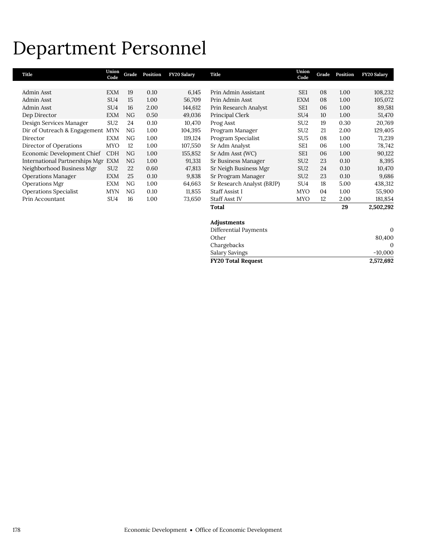## Department Personnel

| Title                              | Union<br>Code   | Grade | Position | <b>FY20 Salary</b> | Title                      | Union<br>Code   | Grade | Position | <b>FY20 Salary</b> |
|------------------------------------|-----------------|-------|----------|--------------------|----------------------------|-----------------|-------|----------|--------------------|
|                                    |                 |       |          |                    |                            |                 |       |          |                    |
| Admin Asst                         | <b>EXM</b>      | 19    | 0.10     | 6,145              | Prin Admin Assistant       | SE1             | 08    | 1.00     | 108,232            |
| Admin Asst                         | SU <sub>4</sub> | 15    | 1.00     | 56,709             | Prin Admin Asst            | <b>EXM</b>      | 08    | 1.00     | 105,072            |
| Admin Asst                         | SU <sub>4</sub> | 16    | 2.00     | 144,612            | Prin Research Analyst      | SE <sub>1</sub> | 06    | 1.00     | 89,581             |
| Dep Director                       | <b>EXM</b>      | NG    | 0.50     | 49,036             | Principal Clerk            | SU <sub>4</sub> | 10    | 1.00     | 51,470             |
| Design Services Manager            | SU <sub>2</sub> | 24    | 0.10     | 10,470             | Prog Asst                  | SU <sub>2</sub> | 19    | 0.30     | 20,769             |
| Dir of Outreach & Engagement       | <b>MYN</b>      | NG    | 1.00     | 104,395            | Program Manager            | SU <sub>2</sub> | 21    | 2.00     | 129,405            |
| Director                           | <b>EXM</b>      | NG    | 1.00     | 119,124            | Program Specialist         | SU <sub>5</sub> | 08    | 1.00     | 71,239             |
| Director of Operations             | <b>MYO</b>      | 12    | 1.00     | 107,550            | Sr Adm Analyst             | SE1             | 06    | 1.00     | 78,742             |
| Economic Development Chief         | <b>CDH</b>      | NG    | 1.00     | 155,852            | Sr Adm Asst (WC)           | SE <sub>1</sub> | 06    | 1.00     | 90,122             |
| International Partnerships Mgr EXM |                 | NG    | 1.00     | 91,331             | Sr Business Manager        | SU <sub>2</sub> | 23    | 0.10     | 8,395              |
| Neighborhood Business Mgr          | SU <sub>2</sub> | 22    | 0.60     | 47,813             | Sr Neigh Business Mgr      | SU <sub>2</sub> | 24    | 0.10     | 10,470             |
| <b>Operations Manager</b>          | <b>EXM</b>      | 25    | 0.10     | 9,838              | Sr Program Manager         | SU <sub>2</sub> | 23    | 0.10     | 9,686              |
| Operations Mgr                     | <b>EXM</b>      | NG    | 1.00     | 64,663             | Sr Research Analyst (BRJP) | SU <sub>4</sub> | 18    | 5.00     | 438,312            |
| <b>Operations Specialist</b>       | <b>MYN</b>      | NG    | 0.10     | 11,855             | Staff Assist I             | <b>MYO</b>      | 04    | 1.00     | 55,900             |
| Prin Accountant                    | SU4             | 16    | 1.00     | 73,650             | <b>Staff Asst IV</b>       | <b>MYO</b>      | 12    | 2.00     | 181,854            |
|                                    |                 |       |          |                    | Total                      |                 |       | 29       | 2,502,292          |
|                                    |                 |       |          |                    | <b>Adinstments</b>         |                 |       |          |                    |

| Adjustments               |           |
|---------------------------|-----------|
| Differential Payments     | $\Omega$  |
| Other                     | 80,400    |
| Chargebacks               |           |
| Salary Savings            | $-10,000$ |
| <b>FY20 Total Request</b> | 2,572,692 |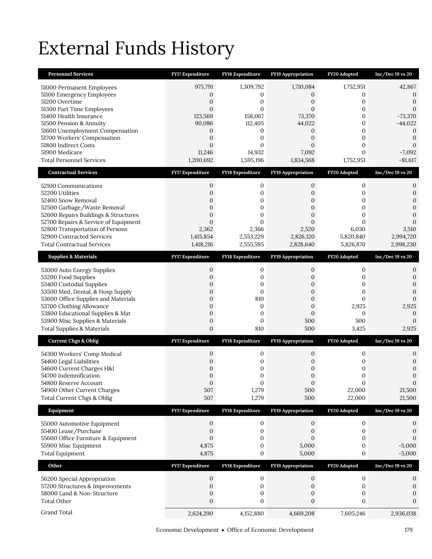# External Funds History

| <b>Personnel Services</b>                                      | FY17 Expenditure                   | FY18 Expenditure        | FY19 Appropriation                   | FY20 Adopted           | Inc/Dec 19 vs 20                 |
|----------------------------------------------------------------|------------------------------------|-------------------------|--------------------------------------|------------------------|----------------------------------|
| 51000 Permanent Employees                                      | 975,791                            | 1,309,792               | 1,710,084                            | 1,752,951              | 42,867                           |
| 51100 Emergency Employees                                      | 0                                  | 0                       | 0                                    | 0                      | 0                                |
| 51200 Overtime                                                 | $\boldsymbol{0}$                   | 0                       | 0                                    | 0                      | 0                                |
| 51300 Part Time Employees<br>51400 Health Insurance            | $\overline{0}$<br>123,569          | $\mathbf{0}$<br>158,067 | $\overline{0}$<br>73,370             | 0<br>0                 | $\mathbf{0}$<br>$-73,370$        |
| 51500 Pension & Annuity                                        | 90,086                             | 112,405                 | 44,022                               | $\mathbf{0}$           | $-44,022$                        |
| 51600 Unemployment Compensation                                | 0                                  | 0                       | 0                                    | 0                      | $\mathbf{0}$                     |
| 51700 Workers' Compensation<br>51800 Indirect Costs            | $\overline{0}$<br>$\overline{0}$   | 0<br>0                  | $\overline{0}$<br>$\mathbf{0}$       | 0<br>$\mathbf{0}$      | $\mathbf{0}$<br>$\mathbf{0}$     |
| 51900 Medicare                                                 | 11,246                             | 14,932                  | 7,092                                | $\overline{0}$         | $-7,092$                         |
| <b>Total Personnel Services</b>                                | 1,200,692                          | 1,595,196               | 1,834,568                            | 1,752,951              | $-81,617$                        |
| <b>Contractual Services</b>                                    | <b>FY17 Expenditure</b>            | FY18 Expenditure        | FY19 Appropriation                   | FY20 Adopted           | $Inc/Dec 19$ vs 20               |
| 52100 Communications                                           | 0                                  | 0                       | 0                                    | $\mathbf{0}$           | 0                                |
| 52200 Utilities                                                | $\overline{0}$                     | 0                       | $\mathbf{0}$                         | $\mathbf{0}$           | $\boldsymbol{0}$                 |
| 52400 Snow Removal<br>52500 Garbage/Waste Removal              | $\overline{0}$<br>$\mathbf{0}$     | 0<br>0                  | $\mathbf{0}$<br>0                    | $\overline{0}$<br>0    | $\mathbf{0}$<br>$\mathbf{0}$     |
| 52600 Repairs Buildings & Structures                           | $\overline{0}$                     | $\overline{0}$          | $\overline{0}$                       | $\overline{0}$         | $\mathbf{0}$                     |
| 52700 Repairs & Service of Equipment                           | $\Omega$                           | 0                       | $\Omega$                             | $\Omega$               | $\mathbf{0}$                     |
| 52800 Transportation of Persons                                | 2,362                              | 2,366                   | 2,520                                | 6,030                  | 3,510                            |
| 52900 Contracted Services<br><b>Total Contractual Services</b> | 1,415,854<br>1,418,216             | 2,553,229<br>2,555,595  | 2,826,120<br>2,828,640               | 5,820,840<br>5,826,870 | 2,994,720<br>2,998,230           |
| <b>Supplies &amp; Materials</b>                                | FY17 Expenditure                   | <b>FY18 Expenditure</b> | FY19 Appropriation                   | FY20 Adopted           | Inc/Dec 19 vs 20                 |
|                                                                |                                    |                         |                                      |                        |                                  |
| 53000 Auto Energy Supplies                                     | 0<br>$\overline{0}$                | 0                       | 0                                    | $\mathbf{0}$           | 0                                |
| 53200 Food Supplies<br>53400 Custodial Supplies                | 0                                  | 0<br>0                  | 0<br>0                               | 0<br>0                 | $\boldsymbol{0}$<br>$\mathbf{0}$ |
| 53500 Med, Dental, & Hosp Supply                               | $\mathbf{0}$                       | $\mathbf{0}$            | 0                                    | $\mathbf{0}$           | $\mathbf{0}$                     |
| 53600 Office Supplies and Materials                            | $\overline{0}$                     | 810                     | $\mathbf{0}$                         | 0                      | $\boldsymbol{0}$                 |
| 53700 Clothing Allowance<br>53800 Educational Supplies & Mat   | $\overline{0}$<br>$\boldsymbol{0}$ | 0<br>0                  | $\boldsymbol{0}$<br>$\boldsymbol{0}$ | 2,925<br>$\mathbf{0}$  | 2,925<br>$\mathbf{0}$            |
| 53900 Misc Supplies & Materials                                | $\boldsymbol{0}$                   | 0                       | 500                                  | 500                    | $\mathbf{0}$                     |
| <b>Total Supplies &amp; Materials</b>                          | $\boldsymbol{0}$                   | 810                     | 500                                  | 3,425                  | 2,925                            |
| <b>Current Chgs &amp; Oblig</b>                                | <b>FY17 Expenditure</b>            | <b>FY18 Expenditure</b> | <b>FY19 Appropriation</b>            | FY20 Adopted           | Inc/Dec 19 vs 20                 |
| 54300 Workers' Comp Medical                                    | 0                                  | 0                       | 0                                    | $\boldsymbol{0}$       | 0                                |
| 54400 Legal Liabilities                                        | $\overline{0}$                     | 0                       | 0                                    | 0                      | $\mathbf{0}$                     |
| 54600 Current Charges H&I<br>54700 Indemnification             | 0<br>$\mathbf{0}$                  | 0<br>0                  | 0<br>$\boldsymbol{0}$                | 0<br>0                 | $\mathbf{0}$<br>$\mathbf{0}$     |
| 54800 Reserve Account                                          | $\Omega$                           | $\Omega$                | $\Omega$                             | $\Omega$               | $\Omega$                         |
| 54900 Other Current Charges                                    | 507                                | 1,279                   | 500                                  | 22,000                 | 21,500                           |
| Total Current Chgs & Oblig                                     | 507                                | 1,279                   | 500                                  | 22,000                 | 21,500                           |
| Equipment                                                      | <b>FY17 Expenditure</b>            | FY18 Expenditure        | FY19 Appropriation                   | FY20 Adopted           | Inc/Dec 19 vs 20                 |
| 55000 Automotive Equipment                                     | $\boldsymbol{0}$                   | $\boldsymbol{0}$        | $\boldsymbol{0}$                     | $\boldsymbol{0}$       | 0                                |
| 55400 Lease/Purchase                                           | $\boldsymbol{0}$<br>$\overline{0}$ | 0                       | $\mathbf{0}$                         | $\mathbf{0}$           | $\boldsymbol{0}$                 |
| 55600 Office Furniture & Equipment<br>55900 Misc Equipment     | 4,875                              | 0<br>0                  | $\mathbf{0}$<br>5,000                | 0<br>$\boldsymbol{0}$  | $\boldsymbol{0}$<br>$-5,000$     |
| <b>Total Equipment</b>                                         | 4,875                              | 0                       | 5,000                                | $\boldsymbol{0}$       | $-5,000$                         |
| Other                                                          | <b>FY17 Expenditure</b>            | <b>FY18 Expenditure</b> | FY19 Appropriation                   | FY20 Adopted           | Inc/Dec 19 vs 20                 |
| 56200 Special Appropriation                                    | 0                                  | 0                       | 0                                    | $\mathbf{0}$           | 0                                |
| 57200 Structures & Improvements                                | 0                                  | $\boldsymbol{0}$        | 0                                    | $\boldsymbol{0}$       | $\boldsymbol{0}$                 |
| 58000 Land & Non-Structure                                     | $\boldsymbol{0}$                   | 0                       | 0                                    | 0                      | 0                                |
| <b>Total Other</b>                                             | $\boldsymbol{0}$                   | 0                       | $\boldsymbol{0}$                     | 0                      | $\mathbf{0}$                     |
| Grand Total                                                    | 2,624,290                          | 4,152,880               | 4,669,208                            | 7,605,246              | 2,936,038                        |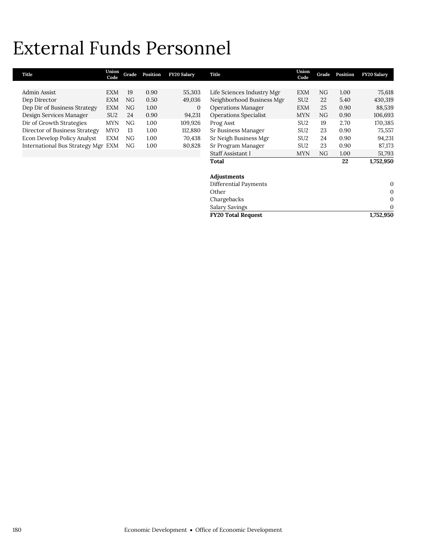# External Funds Personnel

| Title                              | Union<br>Code   | Grade | Position | <b>FY20 Salary</b> | Title                        | Union<br>Code   | Grade | Position | <b>FY20 Salary</b> |
|------------------------------------|-----------------|-------|----------|--------------------|------------------------------|-----------------|-------|----------|--------------------|
|                                    |                 |       |          |                    |                              |                 |       |          |                    |
| Admin Assist                       | EXM             | 19    | 0.90     | 55,303             | Life Sciences Industry Mgr   | <b>EXM</b>      | NG    | 1.00     | 75,618             |
| Dep Director                       | <b>EXM</b>      | NG    | 0.50     | 49,036             | Neighborhood Business Mgr    | SU <sub>2</sub> | 22    | 5.40     | 430,319            |
| Dep Dir of Business Strategy       | <b>EXM</b>      | NG    | 1.00     | $\mathbf{0}$       | <b>Operations Manager</b>    | <b>EXM</b>      | 25    | 0.90     | 88,539             |
| Design Services Manager            | SU <sub>2</sub> | 24    | 0.90     | 94,231             | <b>Operations Specialist</b> | <b>MYN</b>      | NG    | 0.90     | 106,693            |
| Dir of Growth Strategies           | <b>MYN</b>      | NG    | 1.00     | 109,926            | Prog Asst                    | SU <sub>2</sub> | 19    | 2.70     | 170,385            |
| Director of Business Strategy      | <b>MYO</b>      | 13    | 1.00     | 112,880            | Sr Business Manager          | SU <sub>2</sub> | 23    | 0.90     | 75,557             |
| <b>Econ Develop Policy Analyst</b> | <b>EXM</b>      | NG    | 1.00     | 70,438             | Sr Neigh Business Mgr        | SU <sub>2</sub> | 24    | 0.90     | 94,231             |
| International Bus Strategy Mgr EXM |                 | NG    | 1.00     | 80,828             | Sr Program Manager           | SU <sub>2</sub> | 23    | 0.90     | 87,173             |
|                                    |                 |       |          |                    | Staff Assistant I            | <b>MYN</b>      | NG    | 1.00     | 51,793             |
|                                    |                 |       |          |                    | Total                        |                 |       | 22       | 1,752,950          |
|                                    |                 |       |          |                    | Adjustments                  |                 |       |          |                    |
|                                    |                 |       |          |                    | Differential Payments        |                 |       |          | 0                  |
|                                    |                 |       |          |                    | Other                        |                 |       |          | 0                  |
|                                    |                 |       |          |                    | Chargebacks                  |                 |       |          | $\mathbf{0}$       |
|                                    |                 |       |          |                    | <b>Salary Savings</b>        |                 |       |          | 0                  |
|                                    |                 |       |          |                    | <b>FY20 Total Request</b>    |                 |       |          | 1,752,950          |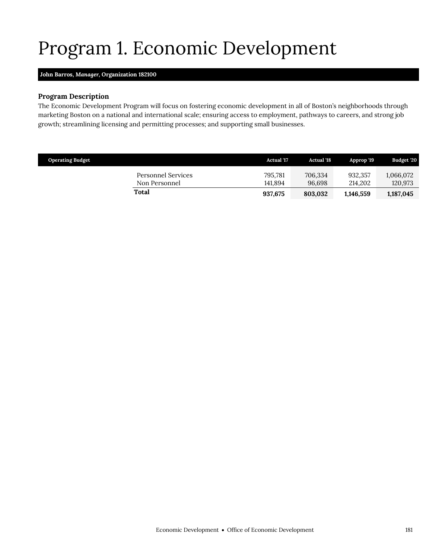# Program 1. Economic Development

## <span id="page-28-0"></span>**John Barros,** *Manager,* **Organization 182100**

## **Program Description**

The Economic Development Program will focus on fostering economic development in all of Boston's neighborhoods through marketing Boston on a national and international scale; ensuring access to employment, pathways to careers, and strong job growth; streamlining licensing and permitting processes; and supporting small businesses.

| <b>Operating Budget</b>             | Actual '17         | <b>Actual</b> '18 | Approp '19         | <b>Budget '20</b>    |
|-------------------------------------|--------------------|-------------------|--------------------|----------------------|
| Personnel Services<br>Non Personnel | 795,781<br>141.894 | 706,334<br>96.698 | 932,357<br>214.202 | 1.066.072<br>120,973 |
| Total                               | 937,675            | 803.032           | 1,146,559          | 1,187,045            |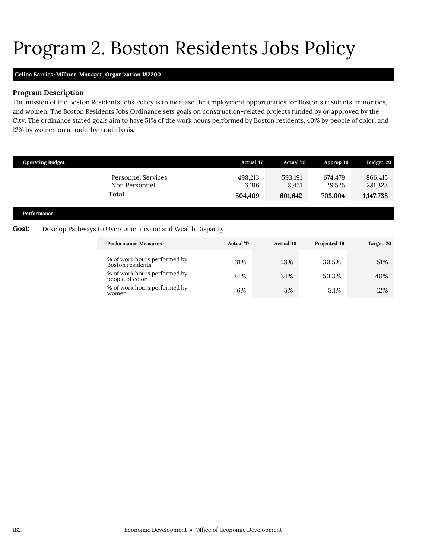# Program 2. Boston Residents Jobs Policy

## **Celina Barrios-Millner,** *Manager,* **Organization 182200**

### **Program Description**

The mission of the Boston Residents Jobs Policy is to increase the employment opportunities for Boston's residents, minorities, and women. The Boston Residents Jobs Ordinance sets goals on construction-related projects funded by or approved by the City. The ordinance stated goals aim to have 51% of the work hours performed by Boston residents, 40% by people of color, and 12% by women on a trade-by-trade basis.

|       | <b>Operating Budget</b>                                  |                                                            | <b>Actual '17</b> | <b>Actual '18</b> | Approp '19        | Budget '20         |
|-------|----------------------------------------------------------|------------------------------------------------------------|-------------------|-------------------|-------------------|--------------------|
|       |                                                          | <b>Personnel Services</b><br>Non Personnel<br><b>Total</b> | 498.213<br>6,196  | 593,191<br>8,451  | 674,479<br>28,525 | 866,415<br>281,323 |
|       |                                                          |                                                            | 504,409           | 601,642           | 703,004           | 1,147,738          |
|       | Performance                                              |                                                            |                   |                   |                   |                    |
| Goal: | Develop Pathways to Overcome Income and Wealth Disparity |                                                            |                   |                   |                   |                    |
|       |                                                          | <b>Performance Measures</b>                                | <b>Actual</b> '17 | <b>Actual '18</b> | Projected '19     | Target '20         |
|       |                                                          | % of work hours performed by                               | 210%              | 28%               | $30.5\%$          | 510 <sub>6</sub>   |

<span id="page-29-0"></span>

| % of work hours performed by<br>Boston residents <sup>'</sup> | 31% | 28% | 30.5% | 51% |
|---------------------------------------------------------------|-----|-----|-------|-----|
| % of work hours performed by<br>people of color               | 34% | 34% | 50.3% | 40% |
| % of work hours performed by<br>women                         | 6%  | 5%  | 5.1%  | 12% |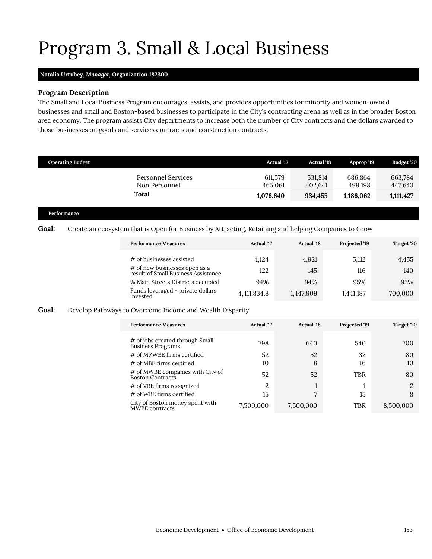## Program 3. Small & Local Business

### **Natalia Urtubey,** *Manager,* **Organization 182300**

## **Program Description**

The Small and Local Business Program encourages, assists, and provides opportunities for minority and women-owned businesses and small and Boston-based businesses to participate in the City's contracting arena as well as in the broader Boston area economy. The program assists City departments to increase both the number of City contracts and the dollars awarded to those businesses on goods and services contracts and construction contracts.

| <b>Operating Budget</b>             | <b>Actual '17</b>  | <b>Actual '18</b>  | Approp '19         | Budget '20         |
|-------------------------------------|--------------------|--------------------|--------------------|--------------------|
| Personnel Services<br>Non Personnel | 611,579<br>465.061 | 531,814<br>402.641 | 686.864<br>499.198 | 663,784<br>447,643 |
| Total                               | 1,076,640          | 934,455            | 1,186,062          | 1,111,427          |
|                                     |                    |                    |                    |                    |

#### **Performance**

## Goal: Create an ecosystem that is Open for Business by Attracting, Retaining and helping Companies to Grow

<span id="page-30-0"></span>

| <b>Performance Measures</b>                                          | <b>Actual</b> '17 | <b>Actual</b> '18 | Projected '19 | Target '20 |
|----------------------------------------------------------------------|-------------------|-------------------|---------------|------------|
| # of businesses assisted                                             | 4.124             | 4,921             | 5,112         | 4,455      |
| # of new businesses open as a<br>result of Small Business Assistance | 122               | 145               | 116           | 140        |
| % Main Streets Districts occupied                                    | 94%               | 94%               | 95%           | 95%        |
| Funds leveraged - private dollars<br>invested                        | 4,411,834.8       | 1,447,909         | 1,441,187     | 700,000    |

### **Goal:** Develop Pathways to Overcome Income and Wealth Disparity

| <b>Performance Measures</b>                          | <b>Actual</b> '17 | <b>Actual</b> '18 | Projected '19 | Target '20 |
|------------------------------------------------------|-------------------|-------------------|---------------|------------|
| # of jobs created through Small<br>Business Programs | 798               | 640               | 540           | 700        |
| # of M/WBE firms certified                           | 52                | 52                | 32            | 80         |
| # of MBE firms certified                             | 10                | 8                 | 16            | 10         |
| # of MWBE companies with City of<br>Boston Contracts | 52                | 52                | TBR           | 80         |
| # of VBE firms recognized                            | 2                 |                   |               | റ          |
| # of WBE firms certified                             | 15                | 7                 | 15            | 8          |
| City of Boston money spent with<br>MWBE contracts    | 7,500,000         | 7,500,000         | TBR           | 8,500,000  |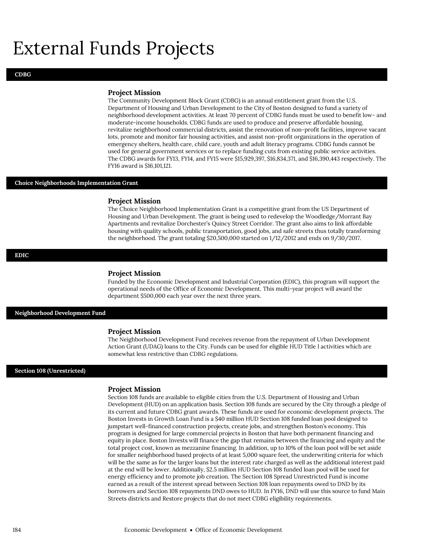## External Funds Projects

#### **Project Mission**

The Community Development Block Grant (CDBG) is an annual entitlement grant from the U.S. Department of Housing and Urban Development to the City of Boston designed to fund a variety of neighborhood development activities. At least 70 percent of CDBG funds must be used to benefit low- and moderate-income households. CDBG funds are used to produce and preserve affordable housing, revitalize neighborhood commercial districts, assist the renovation of non-profit facilities, improve vacant lots, promote and monitor fair housing activities, and assist non-profit organizations in the operation of emergency shelters, health care, child care, youth and adult literacy programs. CDBG funds cannot be used for general government services or to replace funding cuts from existing public service activities. The CDBG awards for FY13, FY14, and FY15 were \$15,929,397, \$16,834,371, and \$16,390,443 respectively. The FY16 award is \$16,101,121.

#### **Choice Neighborhoods Implementation Grant**

#### **Project Mission**

The Choice Neighborhood Implementation Grant is a competitive grant from the US Department of Housing and Urban Development. The grant is being used to redevelop the Woodledge/Morrant Bay Apartments and revitalize Dorchester's Quincy Street Corridor. The grant also aims to link affordable housing with quality schools, public transportation, good jobs, and safe streets thus totally transforming the neighborhood. The grant totaling \$20,500,000 started on 1/12/2012 and ends on 9/30/2017.

#### **EDIC**

#### **Project Mission**

Funded by the Economic Development and Industrial Corporation (EDIC), this program will support the operational needs of the Office of Economic Development. This multi-year project will award the department \$500,000 each year over the next three years.

#### **Neighborhood Development Fund**

#### **Project Mission**

The Neighborhood Development Fund receives revenue from the repayment of Urban Development Action Grant (UDAG) loans to the City. Funds can be used for eligible HUD Title I activities which are somewhat less restrictive than CDBG regulations.

#### **Section 108 (Unrestricted)**

#### **Project Mission**

Section 108 funds are available to eligible cities from the U.S. Department of Housing and Urban Development (HUD) on an application basis. Section 108 funds are secured by the City through a pledge of its current and future CDBG grant awards. These funds are used for economic development projects. The Boston Invests in Growth Loan Fund is a \$40 million HUD Section 108 funded loan pool designed to jumpstart well-financed construction projects, create jobs, and strengthen Boston's economy. This program is designed for large commercial projects in Boston that have both permanent financing and equity in place. Boston Invests will finance the gap that remains between the financing and equity and the total project cost, known as mezzanine financing. In addition, up to 10% of the loan pool will be set aside for smaller neighborhood based projects of at least 5,000 square feet, the underwriting criteria for which will be the same as for the larger loans but the interest rate charged as well as the additional interest paid at the end will be lower. Additionally, \$2.5 million HUD Section 108 funded loan pool will be used for energy efficiency and to promote job creation. The Section 108 Spread Unrestricted Fund is income earned as a result of the interest spread between Section 108 loan repayments owed to DND by its borrowers and Section 108 repayments DND owes to HUD. In FY16, DND will use this source to fund Main Streets districts and Restore projects that do not meet CDBG eligibility requirements.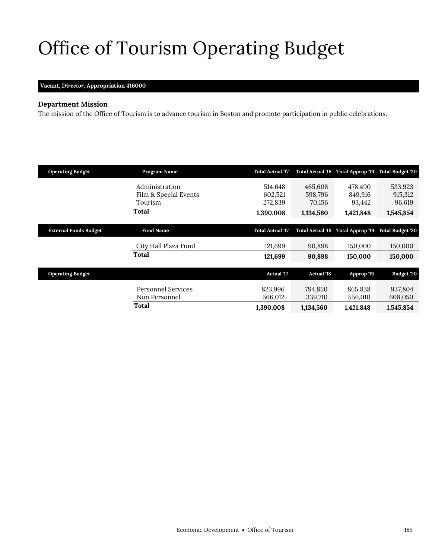# <span id="page-32-0"></span>Office of Tourism Operating Budget

## **Vacant,** *Director,* **Appropriation 416000**

## **Department Mission**

The mission of the Office of Tourism is to advance tourism in Boston and promote participation in public celebrations.

| <b>Operating Budget</b>      | Program Name          | <b>Total Actual '17</b> | <b>Total Actual '18</b> | Total Approp '19 Total Budget '20 |                                   |
|------------------------------|-----------------------|-------------------------|-------------------------|-----------------------------------|-----------------------------------|
|                              | Administration        | 514,648                 | 465,608                 | 478.490                           | 533,923                           |
|                              | Film & Special Events | 602,521                 | 598,796                 | 849,916                           | 915,312                           |
|                              | Tourism               | 272,839                 | 70,156                  | 93,442                            | 96,619                            |
|                              | Total                 | 1,390,008               | 1,134,560               | 1,421,848                         | 1,545,854                         |
|                              |                       |                         |                         |                                   |                                   |
| <b>External Funds Budget</b> | <b>Fund Name</b>      | <b>Total Actual '17</b> | <b>Total Actual '18</b> |                                   | Total Approp '19 Total Budget '20 |
|                              | City Hall Plaza Fund  | 121,699                 | 90,898                  | 150,000                           | 150,000                           |
|                              | Total                 | 121,699                 | 90,898                  | 150,000                           | 150,000                           |
|                              |                       |                         |                         |                                   |                                   |
| <b>Operating Budget</b>      |                       | <b>Actual '17</b>       | <b>Actual '18</b>       | Approp '19                        | Budget '20                        |
|                              | Personnel Services    | 823,996                 | 794,850                 | 865,838                           | 937,804                           |
|                              | Non Personnel         | 566,012                 | 339,710                 | 556,010                           | 608,050                           |
|                              |                       |                         |                         |                                   |                                   |
|                              | Total                 | 1,390,008               | 1,134,560               | 1,421,848                         | 1,545,854                         |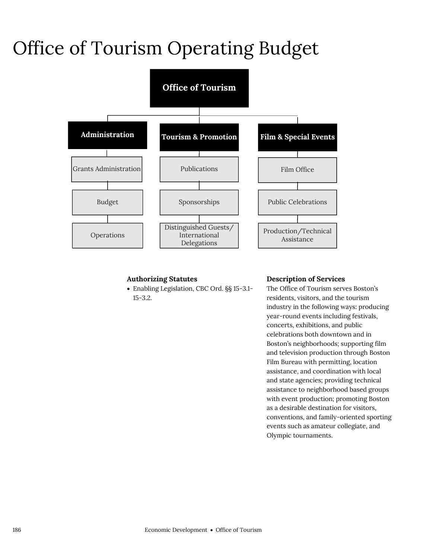# Office of Tourism Operating Budget



## **Authorizing Statutes**

 Enabling Legislation, CBC Ord. §§ 15-3.1- 15-3.2.

## **Description of Services**

The Office of Tourism serves Boston's residents, visitors, and the tourism industry in the following ways: producing year-round events including festivals, concerts, exhibitions, and public celebrations both downtown and in Boston's neighborhoods; supporting film and television production through Boston Film Bureau with permitting, location assistance, and coordination with local and state agencies; providing technical assistance to neighborhood based groups with event production; promoting Boston as a desirable destination for visitors, conventions, and family-oriented sporting events such as amateur collegiate, and Olympic tournaments.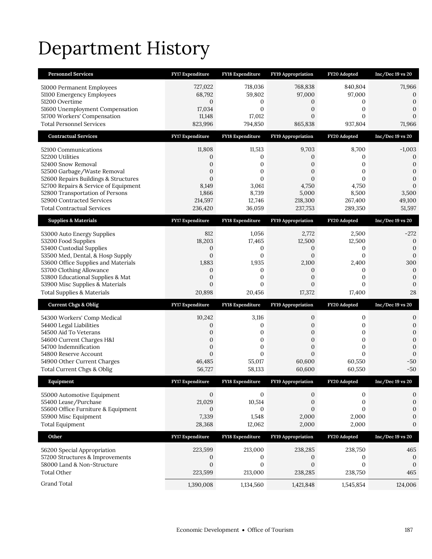# Department History

| <b>Personnel Services</b>                                                    | <b>FY17 Expenditure</b>   | <b>FY18 Expenditure</b>  | <b>FY19 Appropriation</b>      | FY20 Adopted            | $Inc/Dec 19$ vs $20$             |
|------------------------------------------------------------------------------|---------------------------|--------------------------|--------------------------------|-------------------------|----------------------------------|
| 51000 Permanent Employees                                                    | 727,022                   | 718,036                  | 768,838                        | 840,804                 | 71,966                           |
| 51100 Emergency Employees                                                    | 68,792                    | 59,802                   | 97,000                         | 97,000                  | $\mathbf 0$                      |
| 51200 Overtime                                                               | $\mathbf{0}$              | 0                        | 0                              | 0                       | $\overline{0}$                   |
| 51600 Unemployment Compensation<br>51700 Workers' Compensation               | 17,034<br>11,148          | $\overline{0}$<br>17,012 | 0<br>$\mathbf{0}$              | 0<br>0                  | $\overline{0}$<br>$\overline{0}$ |
| <b>Total Personnel Services</b>                                              | 823,996                   | 794,850                  | 865,838                        | 937,804                 | 71,966                           |
| <b>Contractual Services</b>                                                  | <b>FY17 Expenditure</b>   | FY18 Expenditure         | FY19 Appropriation             | FY20 Adopted            | $Inc/Dec 19$ vs $20$             |
| 52100 Communications                                                         | 11,808                    | 11,513                   | 9,703                          | 8,700                   | $-1,003$                         |
| 52200 Utilities                                                              | 0                         | 0                        | 0                              | 0                       | $\mathbf{0}$                     |
| 52400 Snow Removal                                                           | 0                         | 0                        | 0                              | 0                       | $\mathbf{0}$                     |
| 52500 Garbage/Waste Removal                                                  | $\overline{0}$            | 0                        | $\overline{0}$                 | 0                       | $\boldsymbol{0}$                 |
| 52600 Repairs Buildings & Structures<br>52700 Repairs & Service of Equipment | $\overline{0}$<br>8,149   | $\overline{0}$<br>3,061  | $\overline{0}$<br>4,750        | $\overline{0}$<br>4,750 | $\overline{0}$<br>$\mathbf{0}$   |
| 52800 Transportation of Persons                                              | 1,866                     | 8,739                    | 5,000                          | 8,500                   | 3,500                            |
| 52900 Contracted Services                                                    | 214,597                   | 12,746                   | 218,300                        | 267,400                 | 49,100                           |
| <b>Total Contractual Services</b>                                            | 236,420                   | 36,059                   | 237,753                        | 289,350                 | 51,597                           |
| <b>Supplies &amp; Materials</b>                                              | <b>FY17 Expenditure</b>   | <b>FY18 Expenditure</b>  | <b>FY19 Appropriation</b>      | FY20 Adopted            | $Inc/Dec 19$ vs $20$             |
| 53000 Auto Energy Supplies                                                   | 812                       | 1,056                    | 2,772                          | 2,500                   | $-272$                           |
| 53200 Food Supplies                                                          | 18,203                    | 17,465                   | 12,500                         | 12,500                  | $\mathbf{0}$                     |
| 53400 Custodial Supplies                                                     | 0                         | 0                        | 0                              | 0                       | $\boldsymbol{0}$                 |
| 53500 Med, Dental, & Hosp Supply<br>53600 Office Supplies and Materials      | $\overline{0}$<br>1,883   | $\overline{0}$<br>1,935  | $\overline{0}$<br>2,100        | $\overline{0}$<br>2,400 | $\mathbf{0}$<br>300              |
| 53700 Clothing Allowance                                                     | 0                         | 0                        | 0                              | 0                       | $\mathbf{0}$                     |
| 53800 Educational Supplies & Mat                                             | $\overline{0}$            | $\overline{0}$           | $\overline{0}$                 | $\overline{0}$          | $\mathbf{0}$                     |
| 53900 Misc Supplies & Materials                                              | $\overline{0}$            | 0                        | $\overline{0}$                 | 0                       | $\mathbf{0}$                     |
| <b>Total Supplies &amp; Materials</b>                                        | 20,898                    | 20,456                   | 17,372                         | 17,400                  | 28                               |
|                                                                              |                           |                          |                                |                         |                                  |
| <b>Current Chgs &amp; Oblig</b>                                              | <b>FY17 Expenditure</b>   | <b>FY18 Expenditure</b>  | <b>FY19 Appropriation</b>      | FY20 Adopted            | $Inc/Dec 19$ vs $20$             |
| 54300 Workers' Comp Medical                                                  | 10,242                    | 3,116                    | 0                              | 0                       | 0                                |
| 54400 Legal Liabilities                                                      | 0                         | 0                        | 0                              | 0                       | $\mathbf{0}$                     |
| 54500 Aid To Veterans                                                        | 0                         | 0                        | 0                              | 0                       | $\boldsymbol{0}$                 |
| 54600 Current Charges H&I                                                    | $\overline{0}$            | $\mathbf{0}$             | $\overline{0}$                 | $\overline{0}$          | $\overline{0}$                   |
| 54700 Indemnification<br>54800 Reserve Account                               | 0<br>$\overline{0}$       | 0<br>$\overline{0}$      | $\mathbf{0}$<br>$\overline{0}$ | 0<br>$\overline{0}$     | $\mathbf{0}$<br>$\mathbf{0}$     |
| 54900 Other Current Charges                                                  | 46,485                    | 55,017                   | 60,600                         | 60,550                  | $-50$                            |
| Total Current Chgs & Oblig                                                   | 56,727                    | 58,133                   | 60,600                         | 60,550                  | $-50$                            |
| Equipment                                                                    | FY17 Expenditure          | FY18 Expenditure         | <b>FY19 Appropriation</b>      | FY20 Adopted            | Inc/Dec 19 vs 20                 |
| 55000 Automotive Equipment                                                   | $\mathbf{0}$              | $\mathbf{0}$             | 0                              | 0                       | 0                                |
| 55400 Lease/Purchase                                                         | 21,029                    | 10,514                   | 0                              | 0                       | $\mathbf{0}$                     |
| 55600 Office Furniture & Equipment                                           | 0                         | 0                        | $\overline{0}$                 | $\overline{0}$          | $\boldsymbol{0}$                 |
| 55900 Misc Equipment                                                         | 7,339                     | 1,548                    | 2,000                          | 2,000                   | 0                                |
| <b>Total Equipment</b>                                                       | 28,368                    | 12,062                   | 2,000                          | 2,000                   | $\mathbf{0}$                     |
| Other                                                                        | FY17 Expenditure          | FY18 Expenditure         | FY19 Appropriation             | FY20 Adopted            | Inc/Dec 19 vs 20                 |
| 56200 Special Appropriation                                                  | 223,599                   | 213,000                  | 238,285                        | 238,750                 | 465                              |
| 57200 Structures & Improvements                                              | 0                         | $\mathbf{0}$             | 0                              | 0                       | $\theta$                         |
| 58000 Land & Non-Structure<br><b>Total Other</b>                             | $\overline{0}$<br>223,599 | $\mathbf{0}$<br>213,000  | $\boldsymbol{0}$<br>238,285    | $\mathbf{0}$<br>238,750 | $\mathbf{0}$<br>465              |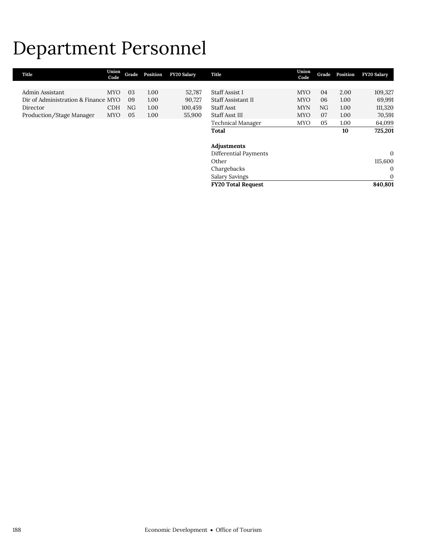## Department Personnel

| Title                               | Union<br>Code | Grade | Position | <b>FY20 Salary</b> | Title                     | Union<br>Code | Grade | Position | <b>FY20 Salary</b> |
|-------------------------------------|---------------|-------|----------|--------------------|---------------------------|---------------|-------|----------|--------------------|
|                                     |               |       |          |                    |                           |               |       |          |                    |
| Admin Assistant                     | <b>MYO</b>    | 03    | 1.00     | 52,787             | <b>Staff Assist I</b>     | <b>MYO</b>    | 04    | 2.00     | 109,327            |
| Dir of Administration & Finance MYO |               | 09    | 1.00     | 90,727             | Staff Assistant II        | <b>MYO</b>    | 06    | 1.00     | 69,991             |
| Director                            | <b>CDH</b>    | NG.   | 1.00     | 100,459            | Staff Asst                | <b>MYN</b>    | NG    | 1.00     | 111,320            |
| Production/Stage Manager            | <b>MYO</b>    | 05    | 1.00     | 55,900             | Staff Asst III            | <b>MYO</b>    | 07    | 1.00     | 70,591             |
|                                     |               |       |          |                    | Technical Manager         | <b>MYO</b>    | 05    | 1.00     | 64,099             |
|                                     |               |       |          |                    | Total                     |               |       | 10       | 725,201            |
|                                     |               |       |          |                    |                           |               |       |          |                    |
|                                     |               |       |          |                    | Adjustments               |               |       |          |                    |
|                                     |               |       |          |                    | Differential Payments     |               |       |          | $\mathbf{0}$       |
|                                     |               |       |          |                    | Other                     |               |       |          | 115,600            |
|                                     |               |       |          |                    | Chargebacks               |               |       |          | $\mathbf{0}$       |
|                                     |               |       |          |                    | Salary Savings            |               |       |          | $\mathbf{0}$       |
|                                     |               |       |          |                    | <b>FY20 Total Request</b> |               |       |          | 840,801            |
|                                     |               |       |          |                    |                           |               |       |          |                    |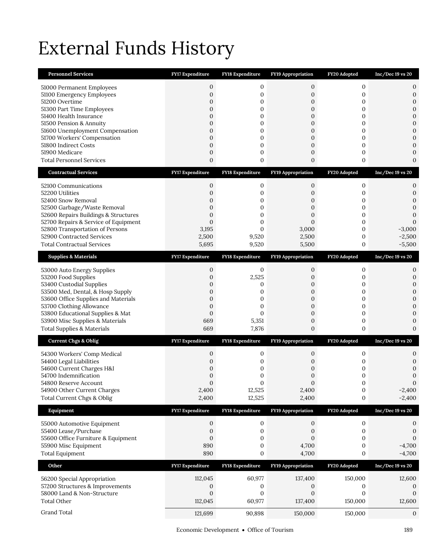# External Funds History

| <b>Personnel Services</b>                                     | FY17 Expenditure               | FY18 Expenditure        | <b>FY19 Appropriation</b>            | FY20 Adopted                     | $Inc/Dec 19$ vs $20$             |
|---------------------------------------------------------------|--------------------------------|-------------------------|--------------------------------------|----------------------------------|----------------------------------|
| 51000 Permanent Employees                                     | 0                              | 0                       | 0                                    | $\mathbf{0}$                     | 0                                |
| 51100 Emergency Employees                                     | $\mathbf{0}$                   | 0                       | $\boldsymbol{0}$                     | 0                                | $\mathbf{0}$                     |
| 51200 Overtime                                                | $\mathbf{0}$                   | 0                       | 0                                    | 0                                | $\boldsymbol{0}$                 |
| 51300 Part Time Employees<br>51400 Health Insurance           | $\mathbf{0}$<br>$\overline{0}$ | 0<br>0                  | 0<br>$\mathbf{0}$                    | 0<br>$\mathbf{0}$                | $\boldsymbol{0}$<br>$\mathbf{0}$ |
| 51500 Pension & Annuity                                       | 0                              | 0                       | 0                                    | 0                                | $\mathbf{0}$                     |
| 51600 Unemployment Compensation                               | $\overline{0}$                 | 0                       | $\overline{0}$                       | $\mathbf{0}$                     | $\mathbf{0}$                     |
| 51700 Workers' Compensation                                   | $\overline{0}$                 | 0                       | $\boldsymbol{0}$                     | 0                                | $\mathbf{0}$                     |
| 51800 Indirect Costs<br>51900 Medicare                        | $\mathbf{0}$<br>$\mathbf{0}$   | 0<br>0                  | $\boldsymbol{0}$<br>$\boldsymbol{0}$ | 0<br>0                           | $\mathbf{0}$<br>$\mathbf{0}$     |
| <b>Total Personnel Services</b>                               | $\overline{0}$                 | 0                       | $\boldsymbol{0}$                     | 0                                | $\mathbf{0}$                     |
| <b>Contractual Services</b>                                   | <b>FY17 Expenditure</b>        | <b>FY18 Expenditure</b> | <b>FY19 Appropriation</b>            | FY20 Adopted                     | $Inc/Dec 19$ vs 20               |
|                                                               |                                |                         |                                      |                                  |                                  |
| 52100 Communications                                          | $\mathbf{0}$                   | 0                       | 0                                    | $\mathbf{0}$                     | 0                                |
| 52200 Utilities<br>52400 Snow Removal                         | $\overline{0}$<br>$\mathbf 0$  | 0<br>0                  | 0<br>0                               | 0<br>0                           | 0<br>$\mathbf{0}$                |
| 52500 Garbage/Waste Removal                                   | 0                              | 0                       | 0                                    | 0                                | $\mathbf{0}$                     |
| 52600 Repairs Buildings & Structures                          | $\mathbf{0}$                   | 0                       | $\overline{0}$                       | 0                                | $\mathbf{0}$                     |
| 52700 Repairs & Service of Equipment                          | $\overline{0}$                 | 0                       | $\mathbf{0}$                         | 0                                | $\mathbf{0}$                     |
| 52800 Transportation of Persons<br>52900 Contracted Services  | 3,195<br>2,500                 | $\mathbf{0}$<br>9,520   | 3,000                                | $\boldsymbol{0}$<br>0            | $-3,000$<br>$-2,500$             |
| <b>Total Contractual Services</b>                             | 5,695                          | 9,520                   | 2,500<br>5,500                       | 0                                | $-5,500$                         |
|                                                               |                                |                         |                                      |                                  |                                  |
| <b>Supplies &amp; Materials</b>                               | <b>FY17 Expenditure</b>        | <b>FY18 Expenditure</b> | <b>FY19 Appropriation</b>            | FY20 Adopted                     | $Inc/Dec 19$ vs 20               |
| 53000 Auto Energy Supplies                                    | 0                              | 0                       | 0                                    | $\boldsymbol{0}$                 | 0                                |
| 53200 Food Supplies                                           | $\overline{0}$                 | 2,525                   | 0                                    | 0                                | $\mathbf{0}$                     |
| 53400 Custodial Supplies<br>53500 Med, Dental, & Hosp Supply  | $\mathbf 0$<br>$\overline{0}$  | 0<br>0                  | 0<br>$\overline{0}$                  | 0<br>0                           | $\mathbf{0}$<br>$\overline{0}$   |
| 53600 Office Supplies and Materials                           | $\overline{0}$                 | 0                       | 0                                    | 0                                | $\mathbf{0}$                     |
| 53700 Clothing Allowance                                      | $\mathbf{0}$                   | 0                       | $\boldsymbol{0}$                     | 0                                | $\mathbf{0}$                     |
| 53800 Educational Supplies & Mat                              | $\boldsymbol{0}$<br>669        | $\mathbf{0}$<br>5,351   | $\boldsymbol{0}$                     | 0<br>0                           | $\mathbf{0}$<br>$\mathbf{0}$     |
| 53900 Misc Supplies & Materials<br>Total Supplies & Materials | 669                            | 7,876                   | 0<br>0                               | 0                                | $\mathbf{0}$                     |
|                                                               |                                |                         |                                      |                                  |                                  |
| <b>Current Chgs &amp; Oblig</b>                               | <b>FY17 Expenditure</b>        | <b>FY18 Expenditure</b> | FY19 Appropriation                   | FY20 Adopted                     | $Inc/Dec 19$ vs $20$             |
| 54300 Workers' Comp Medical                                   | 0                              | 0                       | 0                                    | 0                                | 0                                |
| 54400 Legal Liabilities<br>54600 Current Charges H&I          | 0<br>$\mathbf 0$               | 0<br>0                  | 0<br>0                               | 0<br>0                           | $\mathbf{0}$<br>$\mathbf{0}$     |
| 54700 Indemnification                                         | 0                              | 0                       | 0                                    | 0                                | $\mathbf{0}$                     |
| 54800 Reserve Account                                         | $\Omega$                       | $\Omega$                | $\Omega$                             | $\Omega$                         | $\Omega$                         |
| 54900 Other Current Charges                                   | 2,400                          | 12,525                  | 2,400                                | $\boldsymbol{0}$                 | $-2,400$                         |
| Total Current Chgs & Oblig                                    | 2,400                          | 12,525                  | 2,400                                | 0                                | $-2,400$                         |
| Equipment                                                     | FY17 Expenditure               | FY18 Expenditure        | FY19 Appropriation                   | FY20 Adopted                     | $Inc/Dec 19$ vs $20$             |
| 55000 Automotive Equipment                                    | $\boldsymbol{0}$               | $\boldsymbol{0}$        | $\boldsymbol{0}$                     | $\boldsymbol{0}$                 | 0                                |
| 55400 Lease/Purchase                                          | $\boldsymbol{0}$               | 0                       | 0                                    | $\boldsymbol{0}$                 | $\boldsymbol{0}$                 |
| 55600 Office Furniture & Equipment                            | $\boldsymbol{0}$               | 0                       | 0                                    | 0                                | $\boldsymbol{0}$                 |
| 55900 Misc Equipment<br><b>Total Equipment</b>                | 890<br>890                     | 0<br>0                  | 4,700<br>4,700                       | $\boldsymbol{0}$<br>$\mathbf{0}$ | $-4,700$<br>$-4,700$             |
|                                                               |                                |                         |                                      |                                  |                                  |
| Other                                                         |                                |                         |                                      |                                  |                                  |
|                                                               | FY17 Expenditure               | <b>FY18 Expenditure</b> | FY19 Appropriation                   | FY20 Adopted                     | $Inc/Dec 19$ vs $20$             |
| 56200 Special Appropriation                                   | 112,045                        | 60,977                  | 137,400                              | 150,000                          | 12,600                           |
| 57200 Structures & Improvements                               | 0                              | 0                       | 0                                    | $\boldsymbol{0}$                 | $\mathbf 0$                      |
| 58000 Land & Non-Structure                                    | $\boldsymbol{0}$               | 0                       | $\boldsymbol{0}$                     | 0                                | $\mathbf{0}$                     |
| <b>Total Other</b><br>Grand Total                             | 112,045<br>121,699             | 60,977<br>90,898        | 137,400<br>150,000                   | 150,000<br>150,000               | 12,600<br>$\mathbf{0}$           |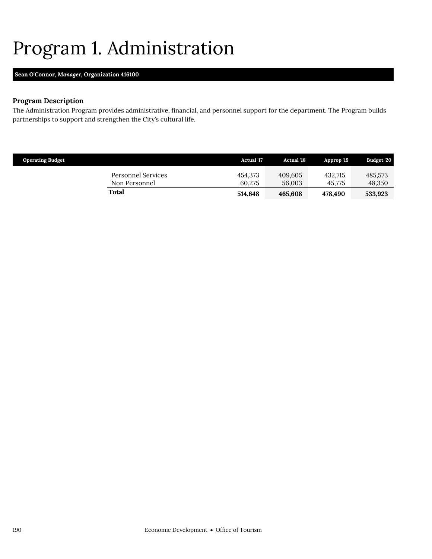## <span id="page-37-0"></span>Program 1. Administration

## **Sean O'Connor,** *Manager,* **Organization 416100**

## **Program Description**

The Administration Program provides administrative, financial, and personnel support for the department. The Program builds partnerships to support and strengthen the City's cultural life.

| <b>Operating Budget</b>             | <b>Actual</b> '17 | <b>Actual '18</b> | Approp '19        | Budget '20        |
|-------------------------------------|-------------------|-------------------|-------------------|-------------------|
| Personnel Services<br>Non Personnel | 454.373<br>60.275 | 409.605<br>56,003 | 432.715<br>45.775 | 485.573<br>48,350 |
| Total                               | 514.648           | 465.608           | 478.490           | 533,923           |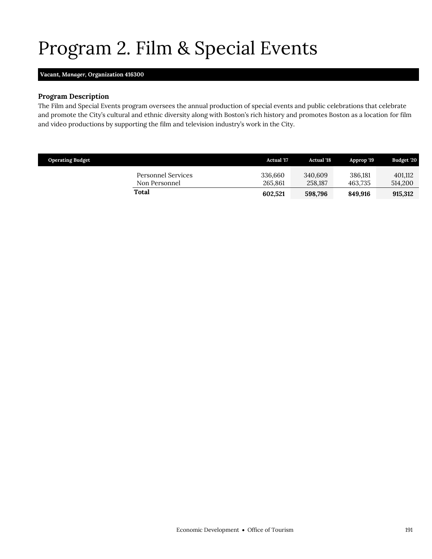# <span id="page-38-0"></span>Program 2. Film & Special Events

## **Vacant,** *Manager,* **Organization 416300**

## **Program Description**

The Film and Special Events program oversees the annual production of special events and public celebrations that celebrate and promote the City's cultural and ethnic diversity along with Boston's rich history and promotes Boston as a location for film and video productions by supporting the film and television industry's work in the City.

| <b>Operating Budget</b>             | <b>Actual</b> '17  | <b>Actual</b> '18  | Approp '19         | Budget '20         |
|-------------------------------------|--------------------|--------------------|--------------------|--------------------|
| Personnel Services<br>Non Personnel | 336,660<br>265,861 | 340.609<br>258.187 | 386.181<br>463.735 | 401.112<br>514,200 |
| Total                               | 602.521            | 598,796            | 849.916            | 915,312            |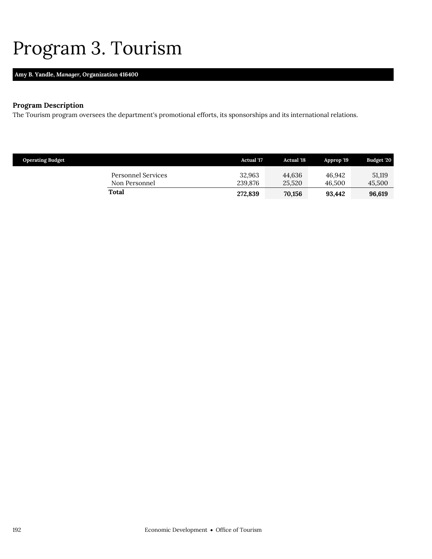## <span id="page-39-0"></span>Program 3. Tourism

## **Amy B. Yandle,** *Manager,* **Organization 416400**

## **Program Description**

The Tourism program oversees the department's promotional efforts, its sponsorships and its international relations.

| <b>Operating Budget</b>             | <b>Actual</b> '17 | <b>Actual</b> '18 | Approp '19       | Budget '20       |
|-------------------------------------|-------------------|-------------------|------------------|------------------|
| Personnel Services<br>Non Personnel | 32,963<br>239,876 | 44.636<br>25.520  | 46.942<br>46.500 | 51,119<br>45,500 |
| Total                               | 272,839           | 70,156            | 93.442           | 96.619           |